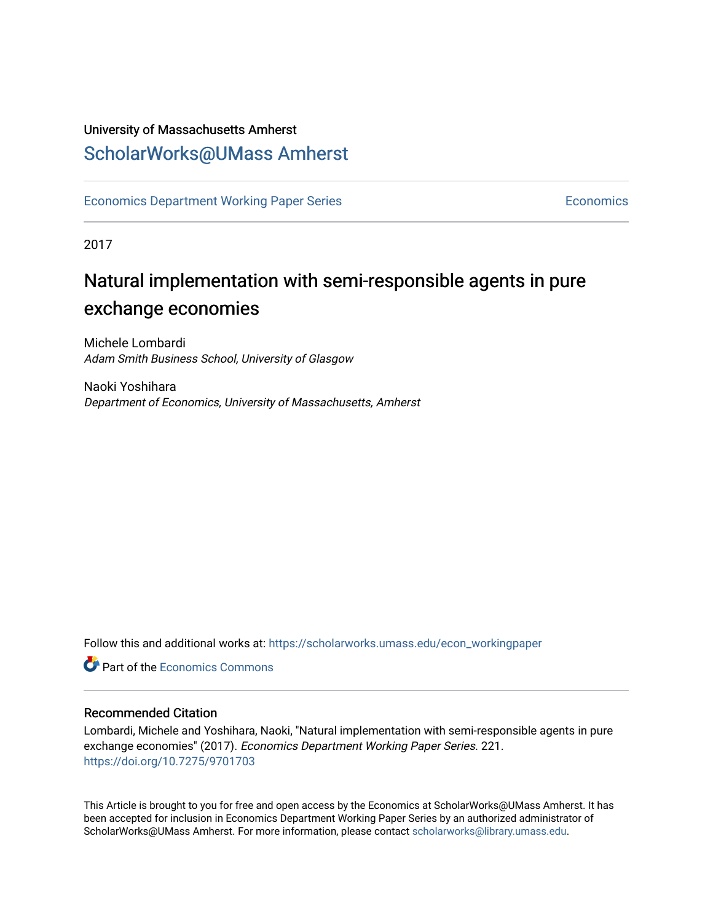## University of Massachusetts Amherst [ScholarWorks@UMass Amherst](https://scholarworks.umass.edu/)

[Economics Department Working Paper Series](https://scholarworks.umass.edu/econ_workingpaper) **Economics** [Economics](https://scholarworks.umass.edu/economics) Economics

2017

## Natural implementation with semi-responsible agents in pure exchange economies

Michele Lombardi Adam Smith Business School, University of Glasgow

Naoki Yoshihara Department of Economics, University of Massachusetts, Amherst

Follow this and additional works at: [https://scholarworks.umass.edu/econ\\_workingpaper](https://scholarworks.umass.edu/econ_workingpaper?utm_source=scholarworks.umass.edu%2Fecon_workingpaper%2F221&utm_medium=PDF&utm_campaign=PDFCoverPages) 

**C** Part of the [Economics Commons](http://network.bepress.com/hgg/discipline/340?utm_source=scholarworks.umass.edu%2Fecon_workingpaper%2F221&utm_medium=PDF&utm_campaign=PDFCoverPages)

#### Recommended Citation

Lombardi, Michele and Yoshihara, Naoki, "Natural implementation with semi-responsible agents in pure exchange economies" (2017). Economics Department Working Paper Series. 221. <https://doi.org/10.7275/9701703>

This Article is brought to you for free and open access by the Economics at ScholarWorks@UMass Amherst. It has been accepted for inclusion in Economics Department Working Paper Series by an authorized administrator of ScholarWorks@UMass Amherst. For more information, please contact [scholarworks@library.umass.edu.](mailto:scholarworks@library.umass.edu)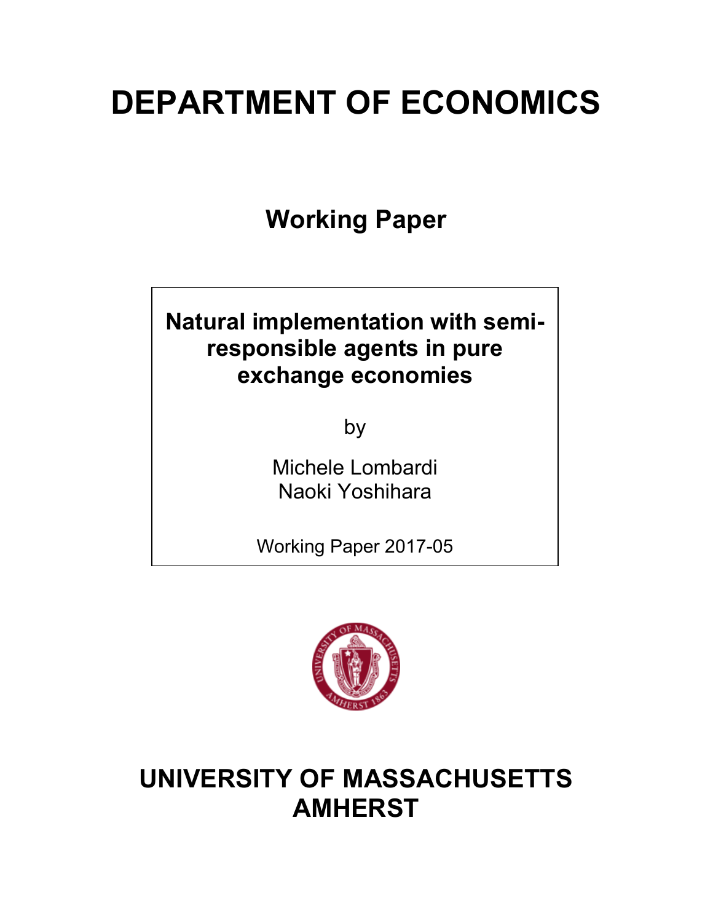# **DEPARTMENT OF ECONOMICS**

**Working Paper**

## **Natural implementation with semiresponsible agents in pure exchange economies**

by

Michele Lombardi Naoki Yoshihara

Working Paper 2017-05



## **UNIVERSITY OF MASSACHUSETTS AMHERST**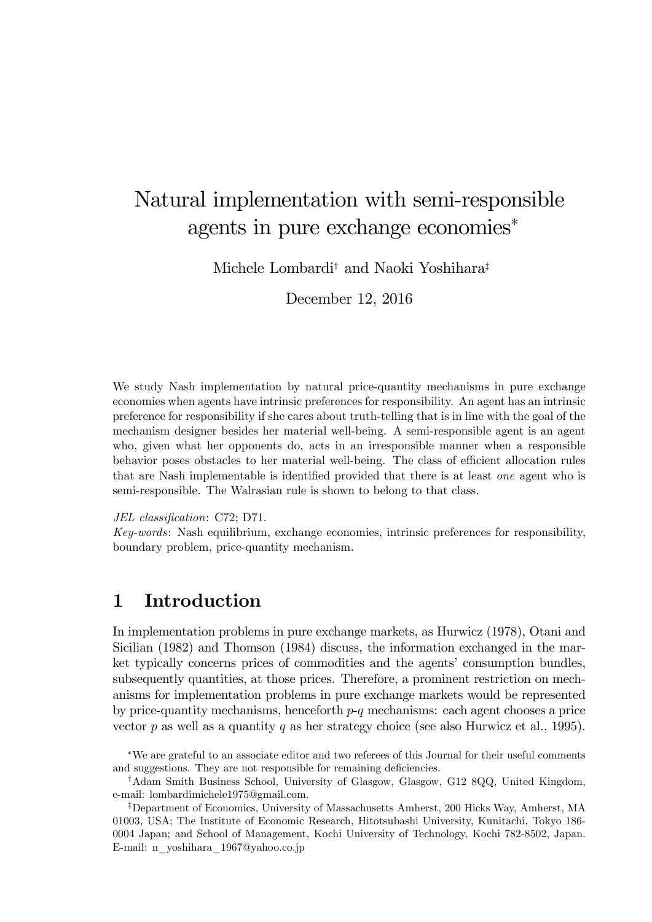## Natural implementation with semi-responsible agents in pure exchange economies<sup>∗</sup>

Michele Lombardi† and Naoki Yoshihara‡

December 12, 2016

We study Nash implementation by natural price-quantity mechanisms in pure exchange economies when agents have intrinsic preferences for responsibility. An agent has an intrinsic preference for responsibility if she cares about truth-telling that is in line with the goal of the mechanism designer besides her material well-being. A semi-responsible agent is an agent who, given what her opponents do, acts in an irresponsible manner when a responsible behavior poses obstacles to her material well-being. The class of efficient allocation rules that are Nash implementable is identified provided that there is at least *one* agent who is semi-responsible. The Walrasian rule is shown to belong to that class.

#### *JEL classification*: C72; D71.

*Key-words*: Nash equilibrium, exchange economies, intrinsic preferences for responsibility, boundary problem, price-quantity mechanism.

## 1 Introduction

In implementation problems in pure exchange markets, as Hurwicz (1978), Otani and Sicilian (1982) and Thomson (1984) discuss, the information exchanged in the market typically concerns prices of commodities and the agents' consumption bundles, subsequently quantities, at those prices. Therefore, a prominent restriction on mechanisms for implementation problems in pure exchange markets would be represented by price-quantity mechanisms, henceforth *p*-*q* mechanisms: each agent chooses a price vector *p* as well as a quantity *q* as her strategy choice (see also Hurwicz et al., 1995).

<sup>∗</sup>We are grateful to an associate editor and two referees of this Journal for their useful comments and suggestions. They are not responsible for remaining deficiencies.

<sup>†</sup>Adam Smith Business School, University of Glasgow, Glasgow, G12 8QQ, United Kingdom, e-mail: lombardimichele1975@gmail.com.

<sup>‡</sup>Department of Economics, University of Massachusetts Amherst, 200 Hicks Way, Amherst, MA 01003, USA; The Institute of Economic Research, Hitotsubashi University, Kunitachi, Tokyo 186- 0004 Japan; and School of Management, Kochi University of Technology, Kochi 782-8502, Japan. E-mail: n\_yoshihara\_1967@yahoo.co.jp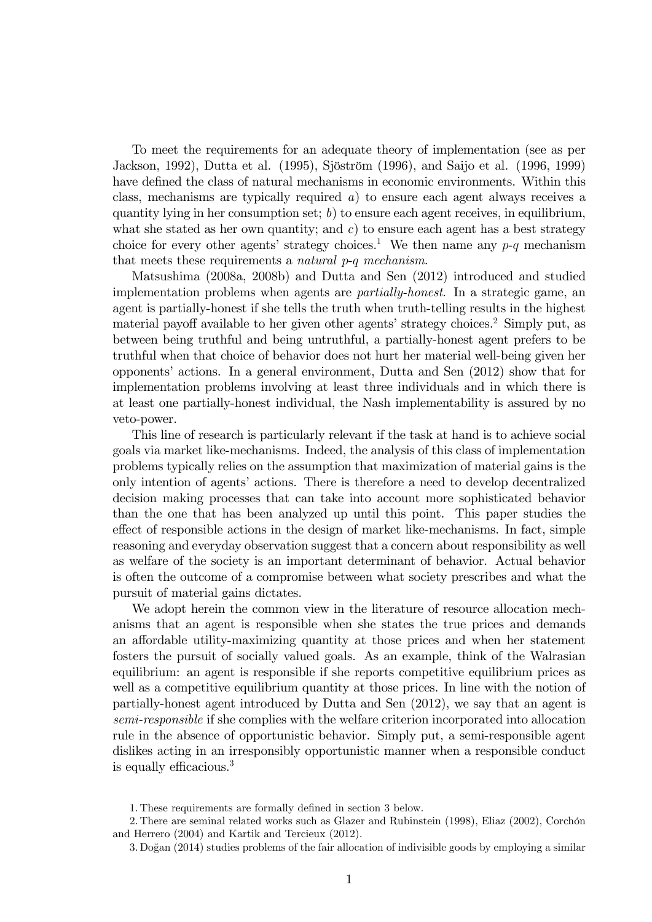To meet the requirements for an adequate theory of implementation (see as per Jackson, 1992), Dutta et al. (1995), Sjöström (1996), and Saijo et al. (1996, 1999) have defined the class of natural mechanisms in economic environments. Within this class, mechanisms are typically required *a*) to ensure each agent always receives a quantity lying in her consumption set; *b*) to ensure each agent receives, in equilibrium, what she stated as her own quantity; and  $c$ ) to ensure each agent has a best strategy choice for every other agents' strategy choices.<sup>1</sup> We then name any  $p-q$  mechanism that meets these requirements a *natural p*-*q mechanism*.

Matsushima (2008a, 2008b) and Dutta and Sen (2012) introduced and studied implementation problems when agents are *partially-honest*. In a strategic game, an agent is partially-honest if she tells the truth when truth-telling results in the highest material payoff available to her given other agents' strategy choices.<sup>2</sup> Simply put, as between being truthful and being untruthful, a partially-honest agent prefers to be truthful when that choice of behavior does not hurt her material well-being given her opponents' actions. In a general environment, Dutta and Sen (2012) show that for implementation problems involving at least three individuals and in which there is at least one partially-honest individual, the Nash implementability is assured by no veto-power.

This line of research is particularly relevant if the task at hand is to achieve social goals via market like-mechanisms. Indeed, the analysis of this class of implementation problems typically relies on the assumption that maximization of material gains is the only intention of agents' actions. There is therefore a need to develop decentralized decision making processes that can take into account more sophisticated behavior than the one that has been analyzed up until this point. This paper studies the effect of responsible actions in the design of market like-mechanisms. In fact, simple reasoning and everyday observation suggest that a concern about responsibility as well as welfare of the society is an important determinant of behavior. Actual behavior is often the outcome of a compromise between what society prescribes and what the pursuit of material gains dictates.

We adopt herein the common view in the literature of resource allocation mechanisms that an agent is responsible when she states the true prices and demands an affordable utility-maximizing quantity at those prices and when her statement fosters the pursuit of socially valued goals. As an example, think of the Walrasian equilibrium: an agent is responsible if she reports competitive equilibrium prices as well as a competitive equilibrium quantity at those prices. In line with the notion of partially-honest agent introduced by Dutta and Sen (2012), we say that an agent is *semi-responsible* if she complies with the welfare criterion incorporated into allocation rule in the absence of opportunistic behavior. Simply put, a semi-responsible agent dislikes acting in an irresponsibly opportunistic manner when a responsible conduct is equally efficacious.<sup>3</sup>

<sup>1.</sup> These requirements are formally defined in section 3 below.

<sup>2.</sup> There are seminal related works such as Glazer and Rubinstein (1998), Eliaz (2002), Corchón and Herrero (2004) and Kartik and Tercieux (2012).

<sup>3.</sup> Dogan (2014) studies problems of the fair allocation of indivisible goods by employing a similar ˘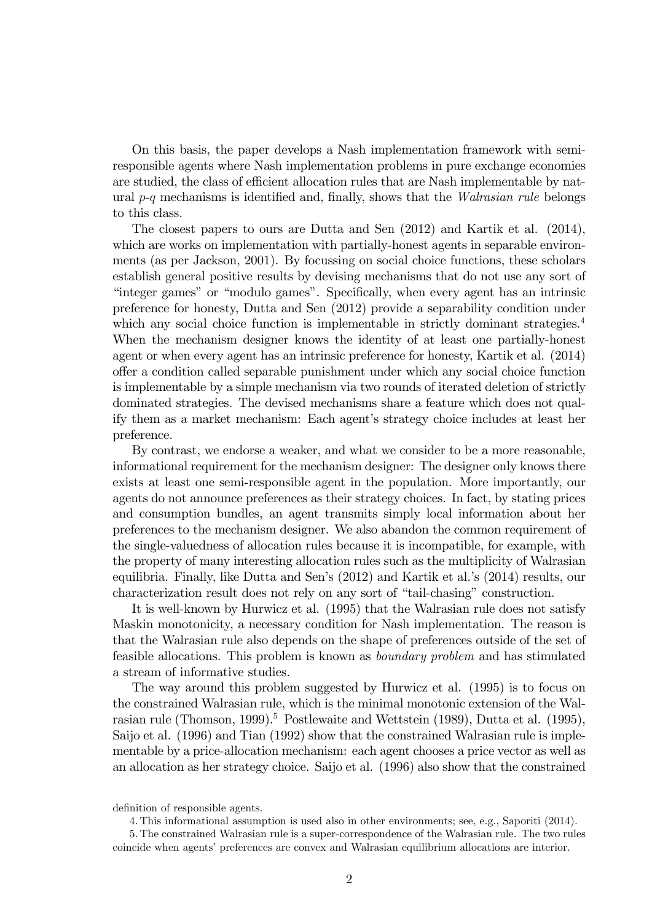On this basis, the paper develops a Nash implementation framework with semiresponsible agents where Nash implementation problems in pure exchange economies are studied, the class of efficient allocation rules that are Nash implementable by natural *p*-*q* mechanisms is identified and, finally, shows that the *Walrasian rule* belongs to this class.

The closest papers to ours are Dutta and Sen (2012) and Kartik et al. (2014), which are works on implementation with partially-honest agents in separable environments (as per Jackson, 2001). By focussing on social choice functions, these scholars establish general positive results by devising mechanisms that do not use any sort of "integer games" or "modulo games". Specifically, when every agent has an intrinsic preference for honesty, Dutta and Sen (2012) provide a separability condition under which any social choice function is implementable in strictly dominant strategies.<sup>4</sup> When the mechanism designer knows the identity of at least one partially-honest agent or when every agent has an intrinsic preference for honesty, Kartik et al. (2014) o§er a condition called separable punishment under which any social choice function is implementable by a simple mechanism via two rounds of iterated deletion of strictly dominated strategies. The devised mechanisms share a feature which does not qualify them as a market mechanism: Each agent's strategy choice includes at least her preference.

By contrast, we endorse a weaker, and what we consider to be a more reasonable, informational requirement for the mechanism designer: The designer only knows there exists at least one semi-responsible agent in the population. More importantly, our agents do not announce preferences as their strategy choices. In fact, by stating prices and consumption bundles, an agent transmits simply local information about her preferences to the mechanism designer. We also abandon the common requirement of the single-valuedness of allocation rules because it is incompatible, for example, with the property of many interesting allocation rules such as the multiplicity of Walrasian equilibria. Finally, like Dutta and Sen's (2012) and Kartik et al.'s (2014) results, our characterization result does not rely on any sort of "tail-chasing" construction.

It is well-known by Hurwicz et al. (1995) that the Walrasian rule does not satisfy Maskin monotonicity, a necessary condition for Nash implementation. The reason is that the Walrasian rule also depends on the shape of preferences outside of the set of feasible allocations. This problem is known as *boundary problem* and has stimulated a stream of informative studies.

The way around this problem suggested by Hurwicz et al. (1995) is to focus on the constrained Walrasian rule, which is the minimal monotonic extension of the Walrasian rule (Thomson, 1999).<sup>5</sup> Postlewaite and Wettstein (1989), Dutta et al. (1995), Saijo et al. (1996) and Tian (1992) show that the constrained Walrasian rule is implementable by a price-allocation mechanism: each agent chooses a price vector as well as an allocation as her strategy choice. Saijo et al. (1996) also show that the constrained

definition of responsible agents.

4. This informational assumption is used also in other environments; see, e.g., Saporiti (2014).

5. The constrained Walrasian rule is a super-correspondence of the Walrasian rule. The two rules coincide when agents' preferences are convex and Walrasian equilibrium allocations are interior.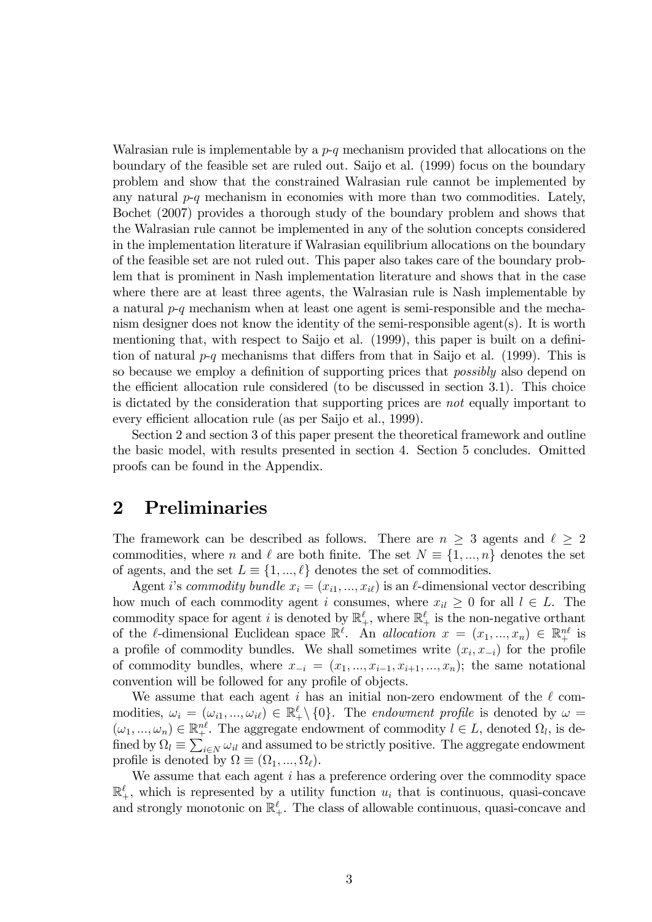Walrasian rule is implementable by a *p*-*q* mechanism provided that allocations on the boundary of the feasible set are ruled out. Saijo et al. (1999) focus on the boundary problem and show that the constrained Walrasian rule cannot be implemented by any natural  $p-q$  mechanism in economies with more than two commodities. Lately, Bochet (2007) provides a thorough study of the boundary problem and shows that the Walrasian rule cannot be implemented in any of the solution concepts considered in the implementation literature if Walrasian equilibrium allocations on the boundary of the feasible set are not ruled out. This paper also takes care of the boundary problem that is prominent in Nash implementation literature and shows that in the case where there are at least three agents, the Walrasian rule is Nash implementable by a natural *p*-*q* mechanism when at least one agent is semi-responsible and the mechanism designer does not know the identity of the semi-responsible agent(s). It is worth mentioning that, with respect to Saijo et al. (1999), this paper is built on a definition of natural  $p-q$  mechanisms that differs from that in Saijo et al. (1999). This is so because we employ a definition of supporting prices that *possibly* also depend on the efficient allocation rule considered (to be discussed in section 3.1). This choice is dictated by the consideration that supporting prices are *not* equally important to every efficient allocation rule (as per Saijo et al., 1999).

Section 2 and section 3 of this paper present the theoretical framework and outline the basic model, with results presented in section 4. Section 5 concludes. Omitted proofs can be found in the Appendix.

## 2 Preliminaries

The framework can be described as follows. There are  $n \geq 3$  agents and  $\ell \geq 2$ commodities, where *n* and  $\ell$  are both finite. The set  $N \equiv \{1, ..., n\}$  denotes the set of agents, and the set  $L \equiv \{1, ..., \ell\}$  denotes the set of commodities.

Agent *i*'s *commodity bundle*  $x_i = (x_{i1}, ..., x_{i\ell})$  is an  $\ell$ -dimensional vector describing how much of each commodity agent *i* consumes, where  $x_{il} \geq 0$  for all  $l \in L$ . The commodity space for agent *i* is denoted by  $\mathbb{R}^{\ell}_+$ , where  $\mathbb{R}^{\ell}_+$  is the non-negative orthant of the l-dimensional Euclidean space  $\mathbb{R}^{\ell}$ . An *allocation*  $x = (x_1, ..., x_n) \in \mathbb{R}^{n\ell}$  is a profile of commodity bundles. We shall sometimes write  $(x_i, x_{-i})$  for the profile of commodity bundles, where  $x_{-i} = (x_1, ..., x_{i-1}, x_{i+1}, ..., x_n)$ ; the same notational convention will be followed for any profile of objects.

We assume that each agent *i* has an initial non-zero endowment of the  $\ell$  commodities,  $\omega_i = (\omega_{i1}, ..., \omega_{i\ell}) \in \mathbb{R}_+^{\ell} \setminus \{0\}$ . The *endowment profile* is denoted by  $\omega =$  $(\omega_1, ..., \omega_n) \in \mathbb{R}^{n\ell}_+$ . The aggregate endowment of commodity  $l \in L$ , denoted  $\Omega_l$ , is defined by  $\Omega_l \equiv \sum_{i \in N} \omega_{il}$  and assumed to be strictly positive. The aggregate endowment profile is denoted by  $\Omega \equiv (\Omega_1, ..., \Omega_\ell)$ .

We assume that each agent *i* has a preference ordering over the commodity space  $\mathbb{R}^{\ell}_+$ , which is represented by a utility function  $u_i$  that is continuous, quasi-concave and strongly monotonic on  $\mathbb{R}^{\ell}_+$ . The class of allowable continuous, quasi-concave and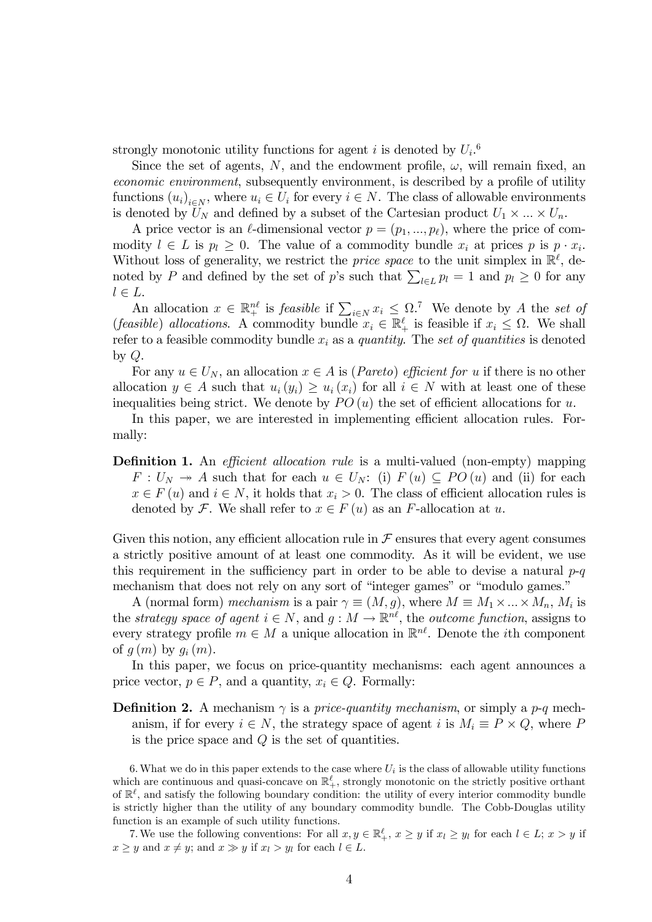strongly monotonic utility functions for agent *i* is denoted by  $U_i$ <sup>6</sup>

Since the set of agents, N, and the endowment profile,  $\omega$ , will remain fixed, an *economic environment*, subsequently environment, is described by a profile of utility functions  $(u_i)_{i \in N}$ , where  $u_i \in U_i$  for every  $i \in N$ . The class of allowable environments is denoted by  $U_N$  and defined by a subset of the Cartesian product  $U_1 \times \ldots \times U_n$ .

A price vector is an  $\ell$ -dimensional vector  $p = (p_1, ..., p_\ell)$ , where the price of commodity  $l \in L$  is  $p_l \geq 0$ . The value of a commodity bundle  $x_i$  at prices  $p$  is  $p \cdot x_i$ . Without loss of generality, we restrict the *price space* to the unit simplex in  $\mathbb{R}^{\ell}$ , denoted by *P* and defined by the set of *p*'s such that  $\sum_{l \in L} p_l = 1$  and  $p_l \ge 0$  for any  $l \in L$ .

An allocation  $x \in \mathbb{R}^{n\ell}_+$  is *feasible* if  $\sum_{i \in N} x_i \leq \Omega$ .<sup>7</sup> We denote by *A* the *set of* (*feasible*) *allocations*. A commodity bundle  $x_i \in \mathbb{R}_+^{\ell}$  is feasible if  $x_i \leq \Omega$ . We shall refer to a feasible commodity bundle *x<sup>i</sup>* as a *quantity*. The *set of quantities* is denoted by *Q*.

For any  $u \in U_N$ , an allocation  $x \in A$  is (*Pareto*) *efficient for*  $u$  if there is no other allocation  $y \in A$  such that  $u_i(y_i) \geq u_i(x_i)$  for all  $i \in N$  with at least one of these inequalities being strict. We denote by  $PO(u)$  the set of efficient allocations for *u*.

In this paper, we are interested in implementing efficient allocation rules. Formally:

**Definition 1.** An *efficient allocation rule* is a multi-valued (non-empty) mapping  $F: U_N \to A$  such that for each  $u \in U_N$ : (i)  $F(u) \subseteq PO(u)$  and (ii) for each  $x \in F(u)$  and  $i \in N$ , it holds that  $x_i > 0$ . The class of efficient allocation rules is denoted by F. We shall refer to  $x \in F(u)$  as an *F*-allocation at *u*.

Given this notion, any efficient allocation rule in  $\mathcal F$  ensures that every agent consumes a strictly positive amount of at least one commodity. As it will be evident, we use this requirement in the sufficiency part in order to be able to devise a natural  $p-q$ mechanism that does not rely on any sort of "integer games" or "modulo games."

A (normal form) *mechanism* is a pair  $\gamma \equiv (M, g)$ , where  $M \equiv M_1 \times \ldots \times M_n$ ,  $M_i$  is the *strategy space of agent*  $i \in N$ , and  $g : M \to \mathbb{R}^{n\ell}$ , the *outcome function*, assigns to every strategy profile  $m \in M$  a unique allocation in  $\mathbb{R}^{n\ell}$ . Denote the *i*th component of  $g(m)$  by  $g_i(m)$ .

In this paper, we focus on price-quantity mechanisms: each agent announces a price vector,  $p \in P$ , and a quantity,  $x_i \in Q$ . Formally:

**Definition 2.** A mechanism  $\gamma$  is a *price-quantity mechanism*, or simply a *p-q* mechanism, if for every  $i \in N$ , the strategy space of agent *i* is  $M_i \equiv P \times Q$ , where P is the price space and *Q* is the set of quantities.

6.What we do in this paper extends to the case where *U<sup>i</sup>* is the class of allowable utility functions which are continuous and quasi-concave on  $\mathbb{R}^{\ell}_+$ , strongly monotonic on the strictly positive orthant of  $\mathbb{R}^{\ell}$ , and satisfy the following boundary condition: the utility of every interior commodity bundle is strictly higher than the utility of any boundary commodity bundle. The Cobb-Douglas utility function is an example of such utility functions.

7. We use the following conventions: For all  $x, y \in \mathbb{R}^{\ell}_+$ ,  $x \geq y$  if  $x_l \geq y_l$  for each  $l \in L$ ;  $x > y$  if  $x \geq y$  and  $x \neq y$ ; and  $x \gg y$  if  $x_l > y_l$  for each  $l \in L$ .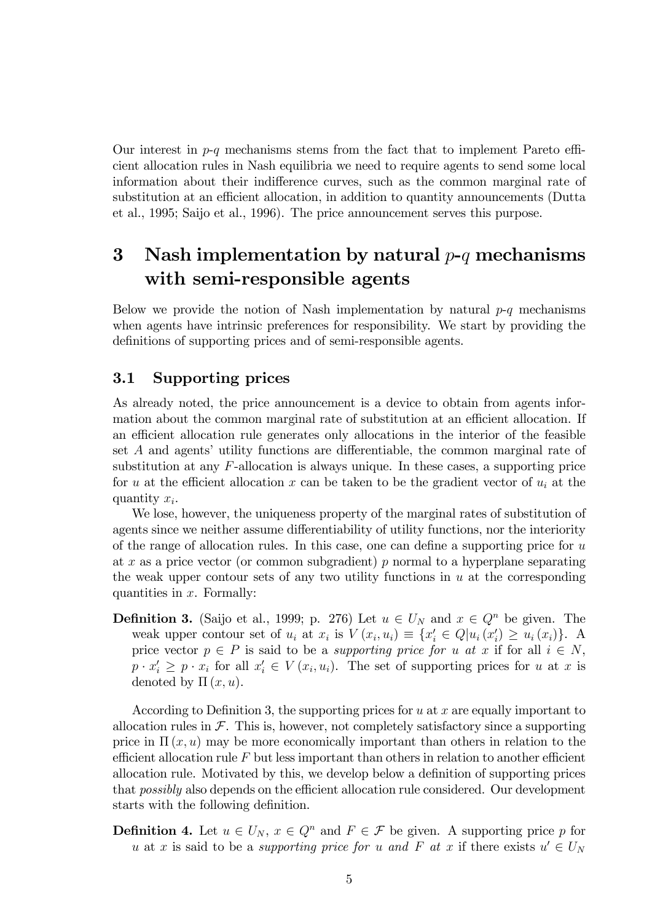Our interest in  $p-q$  mechanisms stems from the fact that to implement Pareto efficient allocation rules in Nash equilibria we need to require agents to send some local information about their indifference curves, such as the common marginal rate of substitution at an efficient allocation, in addition to quantity announcements (Dutta et al., 1995; Saijo et al., 1996). The price announcement serves this purpose.

## 3 Nash implementation by natural *p*-*q* mechanisms with semi-responsible agents

Below we provide the notion of Nash implementation by natural *p*-*q* mechanisms when agents have intrinsic preferences for responsibility. We start by providing the definitions of supporting prices and of semi-responsible agents.

#### 3.1 Supporting prices

As already noted, the price announcement is a device to obtain from agents information about the common marginal rate of substitution at an efficient allocation. If an efficient allocation rule generates only allocations in the interior of the feasible set  $A$  and agents' utility functions are differentiable, the common marginal rate of substitution at any *F*-allocation is always unique. In these cases, a supporting price for *u* at the efficient allocation *x* can be taken to be the gradient vector of  $u_i$  at the quantity *xi*.

We lose, however, the uniqueness property of the marginal rates of substitution of agents since we neither assume differentiability of utility functions, nor the interiority of the range of allocation rules. In this case, one can define a supporting price for *u* at *x* as a price vector (or common subgradient) *p* normal to a hyperplane separating the weak upper contour sets of any two utility functions in *u* at the corresponding quantities in *x*. Formally:

**Definition 3.** (Saijo et al., 1999; p. 276) Let  $u \in U_N$  and  $x \in Q^n$  be given. The weak upper contour set of  $u_i$  at  $x_i$  is  $V(x_i, u_i) \equiv \{x'_i \in Q | u_i(x'_i) \ge u_i(x_i)\}\.$ price vector  $p \in P$  is said to be a *supporting price for u at x* if for all  $i \in N$ ,  $p \cdot x_i' \geq p \cdot x_i$  for all  $x_i' \in V(x_i, u_i)$ . The set of supporting prices for *u* at *x* is denoted by  $\Pi(x, u)$ .

According to Definition 3, the supporting prices for *u* at *x* are equally important to allocation rules in  $\mathcal F$ . This is, however, not completely satisfactory since a supporting price in  $\Pi(x, u)$  may be more economically important than others in relation to the efficient allocation rule  $F$  but less important than others in relation to another efficient allocation rule. Motivated by this, we develop below a definition of supporting prices that *possibly* also depends on the efficient allocation rule considered. Our development starts with the following definition.

**Definition 4.** Let  $u \in U_N$ ,  $x \in Q^n$  and  $F \in \mathcal{F}$  be given. A supporting price p for *u* at *x* is said to be a *supporting price for u* and *F* at *x* if there exists  $u' \in U_N$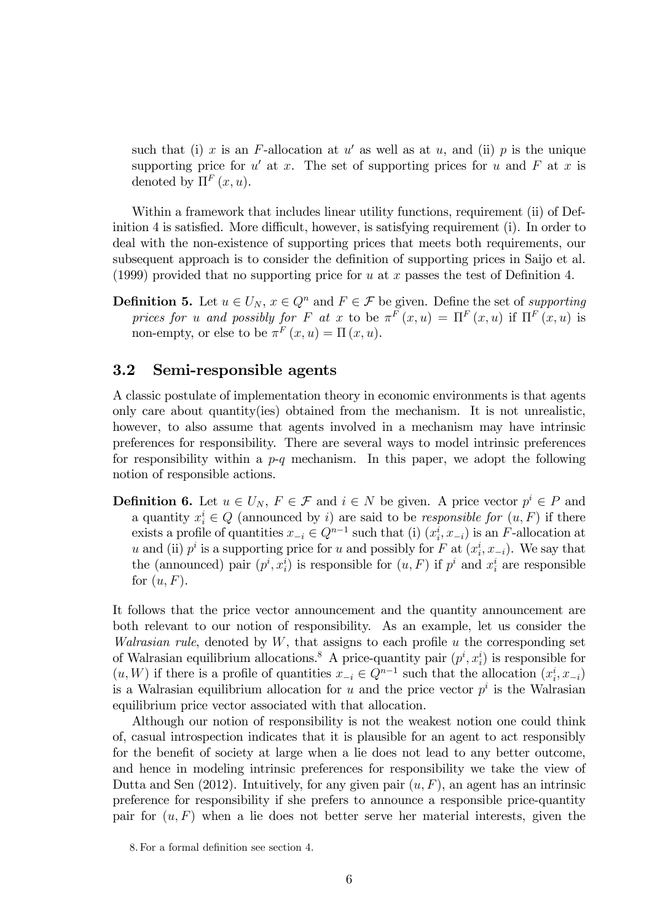such that (i) x is an *F*-allocation at  $u'$  as well as at  $u$ , and (ii) p is the unique supporting price for  $u'$  at *x*. The set of supporting prices for *u* and *F* at *x* is denoted by  $\Pi^F(x, u)$ .

Within a framework that includes linear utility functions, requirement (ii) of Definition 4 is satisfied. More difficult, however, is satisfying requirement (i). In order to deal with the non-existence of supporting prices that meets both requirements, our subsequent approach is to consider the definition of supporting prices in Saijo et al. (1999) provided that no supporting price for *u* at *x* passes the test of Definition 4.

**Definition 5.** Let  $u \in U_N$ ,  $x \in Q^n$  and  $F \in \mathcal{F}$  be given. Define the set of *supporting prices for u and possibly for F at x* to be  $\pi^F(x, u) = \Pi^F(x, u)$  if  $\Pi^F(x, u)$  is non-empty, or else to be  $\pi^F(x, u) = \Pi(x, u)$ .

#### 3.2 Semi-responsible agents

A classic postulate of implementation theory in economic environments is that agents only care about quantity(ies) obtained from the mechanism. It is not unrealistic, however, to also assume that agents involved in a mechanism may have intrinsic preferences for responsibility. There are several ways to model intrinsic preferences for responsibility within a *p*-*q* mechanism. In this paper, we adopt the following notion of responsible actions.

**Definition 6.** Let  $u \in U_N$ ,  $F \in \mathcal{F}$  and  $i \in N$  be given. A price vector  $p^i \in P$  and a quantity  $x_i^i \in Q$  (announced by *i*) are said to be *responsible for*  $(u, F)$  if there exists a profile of quantities  $x_{-i} \in Q^{n-1}$  such that (i)  $(x_i^i, x_{-i})$  is an *F*-allocation at *u* and (ii)  $p^i$  is a supporting price for *u* and possibly for *F* at  $(x_i^i, x_{-i})$ . We say that the (announced) pair  $(p^i, x^i)$  is responsible for  $(u, F)$  if  $p^i$  and  $x^i_i$  are responsible for (*u, F*).

It follows that the price vector announcement and the quantity announcement are both relevant to our notion of responsibility. As an example, let us consider the *Walrasian rule*, denoted by *W*, that assigns to each profile *u* the corresponding set of Walrasian equilibrium allocations.<sup>8</sup> A price-quantity pair  $(p^i, x^i)$  is responsible for  $(u, W)$  if there is a profile of quantities  $x_{-i} \in Q^{n-1}$  such that the allocation  $(x_i^i, x_{-i})$ is a Walrasian equilibrium allocation for  $u$  and the price vector  $p^i$  is the Walrasian equilibrium price vector associated with that allocation.

Although our notion of responsibility is not the weakest notion one could think of, casual introspection indicates that it is plausible for an agent to act responsibly for the benefit of society at large when a lie does not lead to any better outcome, and hence in modeling intrinsic preferences for responsibility we take the view of Dutta and Sen  $(2012)$ . Intuitively, for any given pair  $(u, F)$ , an agent has an intrinsic preference for responsibility if she prefers to announce a responsible price-quantity pair for  $(u, F)$  when a lie does not better serve her material interests, given the

<sup>8.</sup> For a formal definition see section 4.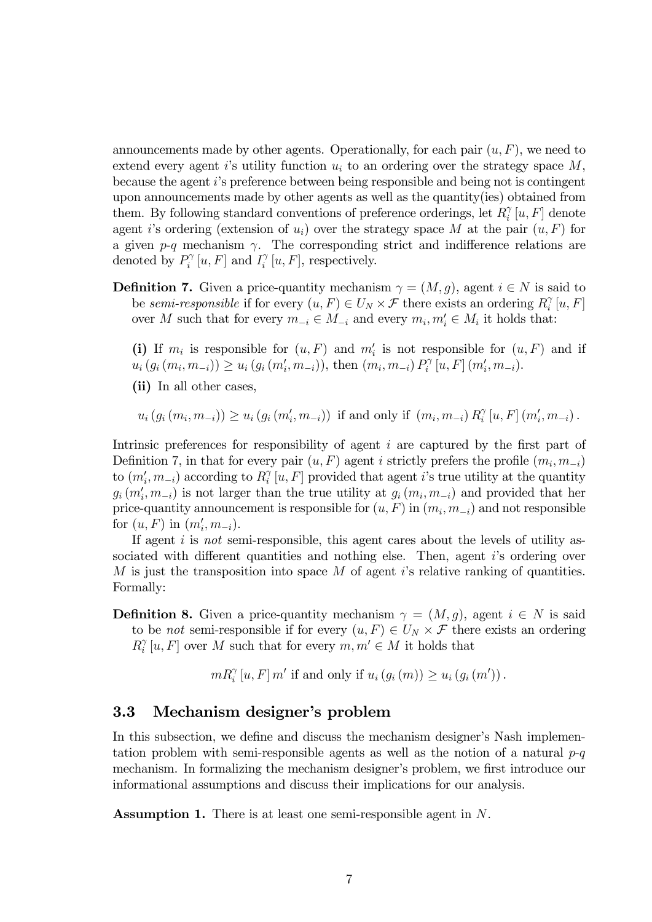announcements made by other agents. Operationally, for each pair (*u, F*), we need to extend every agent *i*'s utility function *u<sup>i</sup>* to an ordering over the strategy space *M*, because the agent *i*'s preference between being responsible and being not is contingent upon announcements made by other agents as well as the quantity(ies) obtained from them. By following standard conventions of preference orderings, let  $R_i^{\gamma}[u, F]$  denote agent *i*'s ordering (extension of  $u_i$ ) over the strategy space *M* at the pair  $(u, F)$  for a given  $p-q$  mechanism  $\gamma$ . The corresponding strict and indifference relations are denoted by  $P_i^{\gamma}[u, F]$  and  $I_i^{\gamma}[u, F]$ , respectively.

**Definition 7.** Given a price-quantity mechanism  $\gamma = (M, g)$ , agent  $i \in N$  is said to be *semi-responsible* if for every  $(u, F) \in U_N \times \mathcal{F}$  there exists an ordering  $R_i^{\gamma}[u, F]$ over *M* such that for every  $m_{-i} \in M_{-i}$  and every  $m_i, m'_i \in M_i$  it holds that:

(i) If  $m_i$  is responsible for  $(u, F)$  and  $m'_i$  is not responsible for  $(u, F)$  and if  $u_i(g_i(m_i, m_{-i})) \ge u_i(g_i(m'_i, m_{-i})),$  then  $(m_i, m_{-i}) P_i^{\gamma}[u, F](m'_i, m_{-i}).$ 

(ii) In all other cases,

 $u_i(g_i(m_i, m_{-i})) \ge u_i(g_i(m'_i, m_{-i}))$  if and only if  $(m_i, m_{-i}) R_i^{\gamma}[u, F](m'_i, m_{-i})$ .

Intrinsic preferences for responsibility of agent *i* are captured by the first part of Definition 7, in that for every pair  $(u, F)$  agent *i* strictly prefers the profile  $(m_i, m_{-i})$ to  $(m'_i, m_{-i})$  according to  $R_i^{\gamma}[u, F]$  provided that agent *i*'s true utility at the quantity  $g_i(m'_i, m_{-i})$  is not larger than the true utility at  $g_i(m_i, m_{-i})$  and provided that her price-quantity announcement is responsible for  $(u, F)$  in  $(m_i, m_{-i})$  and not responsible for  $(u, F)$  in  $(m'_i, m_{-i})$ .

If agent *i* is *not* semi-responsible, this agent cares about the levels of utility associated with different quantities and nothing else. Then, agent *i*'s ordering over *M* is just the transposition into space *M* of agent *i*'s relative ranking of quantities. Formally:

**Definition 8.** Given a price-quantity mechanism  $\gamma = (M, g)$ , agent  $i \in N$  is said to be *not* semi-responsible if for every  $(u, F) \in U_N \times \mathcal{F}$  there exists an ordering  $R_i^{\gamma}[u, F]$  over *M* such that for every  $m, m' \in M$  it holds that

 $mR_i^{\gamma}[u, F]$  *m'* if and only if  $u_i(g_i(m)) \ge u_i(g_i(m'))$ .

#### 3.3 Mechanism designer's problem

In this subsection, we define and discuss the mechanism designer's Nash implementation problem with semi-responsible agents as well as the notion of a natural *p*-*q* mechanism. In formalizing the mechanism designer's problem, we first introduce our informational assumptions and discuss their implications for our analysis.

Assumption 1. There is at least one semi-responsible agent in *N*.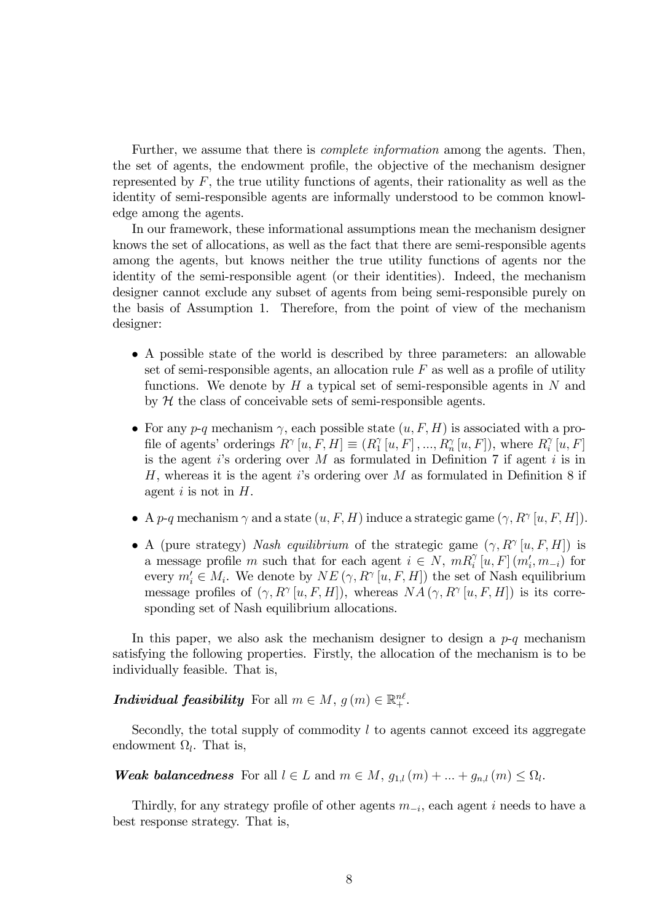Further, we assume that there is *complete information* among the agents. Then, the set of agents, the endowment profile, the objective of the mechanism designer represented by *F*, the true utility functions of agents, their rationality as well as the identity of semi-responsible agents are informally understood to be common knowledge among the agents.

In our framework, these informational assumptions mean the mechanism designer knows the set of allocations, as well as the fact that there are semi-responsible agents among the agents, but knows neither the true utility functions of agents nor the identity of the semi-responsible agent (or their identities). Indeed, the mechanism designer cannot exclude any subset of agents from being semi-responsible purely on the basis of Assumption 1. Therefore, from the point of view of the mechanism designer:

- A possible state of the world is described by three parameters: an allowable set of semi-responsible agents, an allocation rule *F* as well as a profile of utility functions. We denote by *H* a typical set of semi-responsible agents in *N* and by  $H$  the class of conceivable sets of semi-responsible agents.
- For any  $p-q$  mechanism  $\gamma$ , each possible state  $(u, F, H)$  is associated with a profile of agents' orderings  $R^{\gamma}[u, F, H] \equiv (R_1^{\gamma}[u, F], ..., R_n^{\gamma}[u, F])$ , where  $R_i^{\gamma}[u, F]$ is the agent *i*'s ordering over *M* as formulated in Definition 7 if agent *i* is in *H*, whereas it is the agent *i*'s ordering over *M* as formulated in Definition 8 if agent *i* is not in *H*.
- A *p*-*q* mechanism  $\gamma$  and a state  $(u, F, H)$  induce a strategic game  $(\gamma, R^{\gamma}[u, F, H])$ .
- A (pure strategy) *Nash equilibrium* of the strategic game  $(\gamma, R^{\gamma}[u, F, H])$  is a message profile *m* such that for each agent  $i \in N$ ,  $mR_i^{\gamma}[u, F](m_i', m_{-i})$  for every  $m'_i \in M_i$ . We denote by  $NE(\gamma, R^{\gamma}[u, F, H])$  the set of Nash equilibrium message profiles of  $(\gamma, R^{\gamma} [u, F, H])$ , whereas  $NA(\gamma, R^{\gamma} [u, F, H])$  is its corresponding set of Nash equilibrium allocations.

In this paper, we also ask the mechanism designer to design a *p*-*q* mechanism satisfying the following properties. Firstly, the allocation of the mechanism is to be individually feasible. That is,

*Individual feasibility* For all  $m \in M$ ,  $g(m) \in \mathbb{R}^{n\ell}_+$ .

Secondly, the total supply of commodity *l* to agents cannot exceed its aggregate endowment  $\Omega_l$ . That is,

*Weak balancedness* For all  $l \in L$  and  $m \in M$ ,  $g_{1,l}(m) + ... + g_{n,l}(m) \leq \Omega_l$ .

Thirdly, for any strategy profile of other agents *m*−*<sup>i</sup>*, each agent *i* needs to have a best response strategy. That is,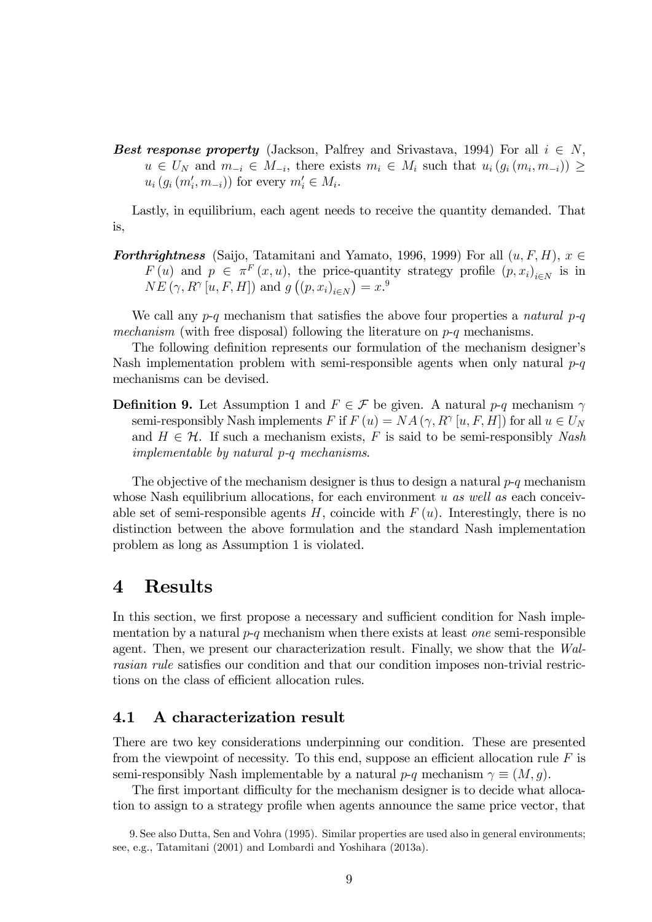*Best response property* (Jackson, Palfrey and Srivastava, 1994) For all  $i \in N$ , *u* ∈ *U<sub>N</sub>* and  $m_{-i}$  ∈  $M_{-i}$ , there exists  $m_i$  ∈  $M_i$  such that  $u_i(g_i(m_i, m_{-i}))$  ≥  $u_i(g_i(m'_i, m_{-i}))$  for every  $m'_i \in M_i$ .

Lastly, in equilibrium, each agent needs to receive the quantity demanded. That is,

*Forthrightness* (Saijo, Tatamitani and Yamato, 1996, 1999) For all  $(u, F, H)$ ,  $x \in$ *F* (*u*) and  $p \in \pi^F(x, u)$ , the price-quantity strategy profile  $(p, x_i)_{i \in N}$  is in  $NE(\gamma, R^{\gamma}[u, F, H])$  and  $g((p, x_i)_{i \in N}) = x^{.9}$ 

We call any *p*-*q* mechanism that satisfies the above four properties a *natural p-q mechanism* (with free disposal) following the literature on *p*-*q* mechanisms.

The following definition represents our formulation of the mechanism designer's Nash implementation problem with semi-responsible agents when only natural *p*-*q* mechanisms can be devised.

**Definition 9.** Let Assumption 1 and  $F \in \mathcal{F}$  be given. A natural *p-q* mechanism  $\gamma$ semi-responsibly Nash implements *F* if  $F(u) = NA(\gamma, R^{\gamma}[u, F, H])$  for all  $u \in U_N$ and  $H \in \mathcal{H}$ . If such a mechanism exists, *F* is said to be semi-responsibly *Nash implementable by natural p-q mechanisms*.

The objective of the mechanism designer is thus to design a natural *p*-*q* mechanism whose Nash equilibrium allocations, for each environment *u as well as* each conceivable set of semi-responsible agents  $H$ , coincide with  $F(u)$ . Interestingly, there is no distinction between the above formulation and the standard Nash implementation problem as long as Assumption 1 is violated.

### 4 Results

In this section, we first propose a necessary and sufficient condition for Nash implementation by a natural *p*-*q* mechanism when there exists at least *one* semi-responsible agent. Then, we present our characterization result. Finally, we show that the *Walrasian rule* satisfies our condition and that our condition imposes non-trivial restrictions on the class of efficient allocation rules.

#### 4.1 A characterization result

There are two key considerations underpinning our condition. These are presented from the viewpoint of necessity. To this end, suppose an efficient allocation rule  $F$  is semi-responsibly Nash implementable by a natural  $p-q$  mechanism  $\gamma \equiv (M, q)$ .

The first important difficulty for the mechanism designer is to decide what allocation to assign to a strategy profile when agents announce the same price vector, that

<sup>9.</sup> See also Dutta, Sen and Vohra (1995). Similar properties are used also in general environments; see, e.g., Tatamitani (2001) and Lombardi and Yoshihara (2013a).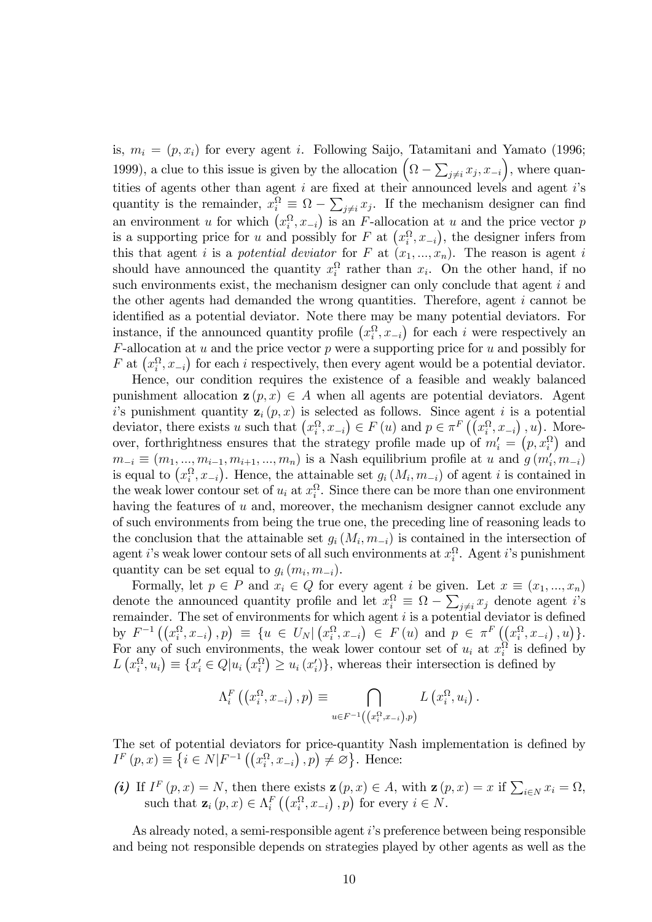is,  $m_i = (p, x_i)$  for every agent *i*. Following Saijo, Tatamitani and Yamato (1996; 1999), a clue to this issue is given by the allocation  $(\Omega - \sum_{j \neq i} x_j, x_{-i})$ , where quantities of agents other than agent *i* are fixed at their announced levels and agent *i*'s quantity is the remainder,  $x_i^{\Omega} \equiv \Omega - \sum_{j \neq i} x_j$ . If the mechanism designer can find an environment *u* for which  $(x_i^{\Omega}, x_{-i})$  is an *F*-allocation at *u* and the price vector *p* is a supporting price for *u* and possibly for *F* at  $(x_i^{\Omega}, x_{-i})$ , the designer infers from this that agent *i* is a *potential deviator* for *F* at  $(x_1, ..., x_n)$ . The reason is agent *i* should have announced the quantity  $x_i^{\Omega}$  rather than  $x_i$ . On the other hand, if no such environments exist, the mechanism designer can only conclude that agent *i* and the other agents had demanded the wrong quantities. Therefore, agent *i* cannot be identified as a potential deviator. Note there may be many potential deviators. For instance, if the announced quantity profile  $(x_i^{\Omega}, x_{-i})$  for each *i* were respectively an *F*-allocation at *u* and the price vector *p* were a supporting price for *u* and possibly for *F* at  $(x_i^{\Omega}, x_{-i})$  for each *i* respectively, then every agent would be a potential deviator.

Hence, our condition requires the existence of a feasible and weakly balanced punishment allocation  $\mathbf{z}(p, x) \in A$  when all agents are potential deviators. Agent *i*'s punishment quantity  $z_i(p, x)$  is selected as follows. Since agent *i* is a potential deviator, there exists *u* such that  $(x_i^{\Omega}, x_{-i}) \in F(u)$  and  $p \in \pi^F((x_i^{\Omega}, x_{-i}), u)$ . Moreover, forthrightness ensures that the strategy profile made up of  $m_i' = (p, x_i^{\Omega})$  and  $m_{-i} \equiv (m_1, ..., m_{i-1}, m_{i+1}, ..., m_n)$  is a Nash equilibrium profile at *u* and  $g(m'_i, m_{-i})$ is equal to  $(x_i^{\Omega}, x_{-i})$ . Hence, the attainable set  $g_i(M_i, m_{-i})$  of agent *i* is contained in the weak lower contour set of  $u_i$  at  $x_i^{\Omega}$ . Since there can be more than one environment having the features of *u* and, moreover, the mechanism designer cannot exclude any of such environments from being the true one, the preceding line of reasoning leads to the conclusion that the attainable set  $g_i(M_i, m_{-i})$  is contained in the intersection of agent *i*'s weak lower contour sets of all such environments at *x*<sup>Ω</sup> *<sup>i</sup>* . Agent *i*'s punishment quantity can be set equal to  $g_i(m_i, m_{-i})$ .

Formally, let  $p \in P$  and  $x_i \in Q$  for every agent *i* be given. Let  $x \equiv (x_1, ..., x_n)$ denote the announced quantity profile and let  $x_i^{\Omega} \equiv \Omega - \sum_{j \neq i} x_j$  denote agent *i*'s remainder. The set of environments for which agent *i* is a potential deviator is defined by  $F^{-1}((x_i^{\Omega}, x_{-i}), p) \equiv \{u \in U_N | (x_i^{\Omega}, x_{-i}) \in F(u) \text{ and } p \in \pi^F((x_i^{\Omega}, x_{-i}), u)\}.$ For any of such environments, the weak lower contour set of  $u_i$  at  $x_i^{\Omega}$  is defined by  $L(x_i^{\Omega}, u_i) \equiv \{x_i' \in Q | u_i(x_i^{\Omega}) \ge u_i(x_i')\}$ , whereas their intersection is defined by

$$
\Lambda_i^F\left(\left(x_i^{\Omega}, x_{-i}\right), p\right) \equiv \bigcap_{u \in F^{-1}\left(\left(x_i^{\Omega}, x_{-i}\right), p\right)} L\left(x_i^{\Omega}, u_i\right).
$$

The set of potential deviators for price-quantity Nash implementation is defined by  $I^F(p, x) \equiv \{ i \in N | F^{-1}((x_i^{\Omega}, x_{-i}), p) \neq \emptyset \}.$  Hence:

*(i)* If  $I^F(p, x) = N$ , then there exists  $z(p, x) \in A$ , with  $z(p, x) = x$  if  $\sum_{i \in N} x_i = \Omega$ , such that  $\mathbf{z}_i(p, x) \in \Lambda_i^F\left(\left(x_i^{\Omega}, x_{-i}\right), p\right)$  for every  $i \in N$ .

As already noted, a semi-responsible agent *i*'s preference between being responsible and being not responsible depends on strategies played by other agents as well as the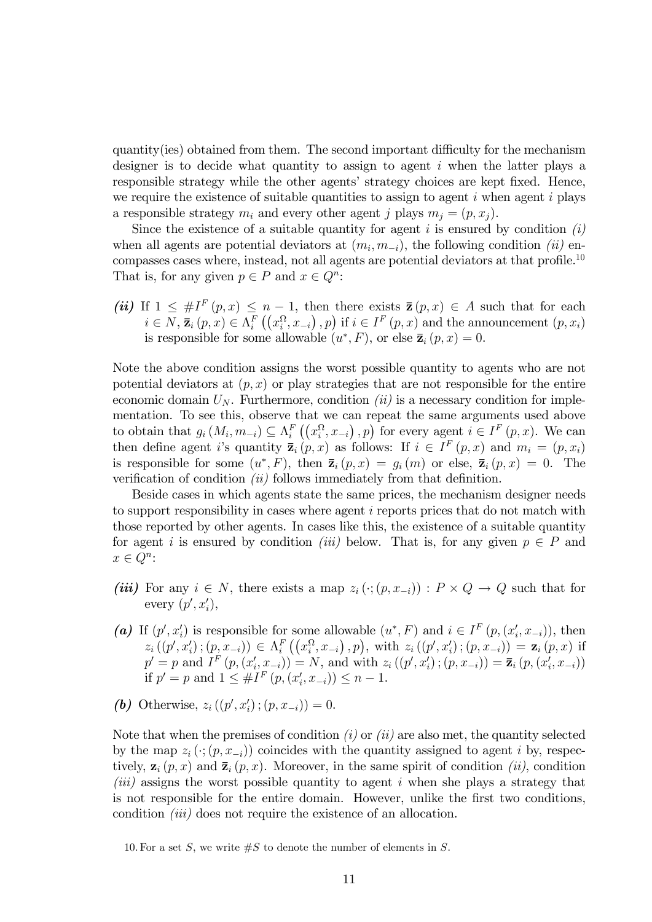quantity(ies) obtained from them. The second important difficulty for the mechanism designer is to decide what quantity to assign to agent *i* when the latter plays a responsible strategy while the other agents' strategy choices are kept fixed. Hence, we require the existence of suitable quantities to assign to agent *i* when agent *i* plays a responsible strategy  $m_i$  and every other agent *j* plays  $m_i = (p, x_i)$ .

Since the existence of a suitable quantity for agent *i* is ensured by condition *(i)* when all agents are potential deviators at  $(m_i, m_{-i})$ , the following condition *(ii)* encompasses cases where, instead, not all agents are potential deviators at that profile.<sup>10</sup> That is, for any given  $p \in P$  and  $x \in Q^n$ :

*(ii)* If  $1 \leq \#I^F(p,x) \leq n-1$ , then there exists  $\overline{z}(p,x) \in A$  such that for each  $i \in N$ ,  $\overline{z}_i(p, x) \in \Lambda_i^F((x_i^{\Omega}, x_{-i}), p)$  if  $i \in I^F(p, x)$  and the announcement  $(p, x_i)$ is responsible for some allowable  $(u^*, F)$ , or else  $\bar{z}_i(p, x) = 0$ .

Note the above condition assigns the worst possible quantity to agents who are not potential deviators at  $(p, x)$  or play strategies that are not responsible for the entire economic domain  $U_N$ . Furthermore, condition *(ii)* is a necessary condition for implementation. To see this, observe that we can repeat the same arguments used above to obtain that  $g_i(M_i, m_{-i}) \subseteq \Lambda_i^F((x_i^{\Omega}, x_{-i}), p)$  for every agent  $i \in I^F(p, x)$ . We can then define agent *i*'s quantity  $\overline{z}_i(p,x)$  as follows: If  $i \in I^F(p,x)$  and  $m_i = (p,x_i)$ is responsible for some  $(u^*, F)$ , then  $\overline{z}_i(p, x) = g_i(m)$  or else,  $\overline{z}_i(p, x) = 0$ . The verification of condition *(ii)* follows immediately from that definition.

Beside cases in which agents state the same prices, the mechanism designer needs to support responsibility in cases where agent *i* reports prices that do not match with those reported by other agents. In cases like this, the existence of a suitable quantity for agent *i* is ensured by condition *(iii)* below. That is, for any given  $p \in P$  and  $x \in Q^n$ :

- *(iii)* For any  $i \in N$ , there exists a map  $z_i$  ( $\cdot$ ;  $(p, x_{-i})$ ) :  $P \times Q \rightarrow Q$  such that for every  $(p', x'_i)$ ,
- (a) If  $(p', x'_i)$  is responsible for some allowable  $(u^*, F)$  and  $i \in I^F(p, (x'_i, x_{-i}))$ , then  $z_i((p',x'_i);(p,x_{-i})) \in \Lambda_i^F((x_i^{\Omega},x_{-i}),p), \text{ with } z_i((p',x'_i);(p,x_{-i})) = \mathbf{z}_i(p,x) \text{ if }$  $p' = p$  and  $I^F(p, (x'_i, x_{-i})) = N$ , and with  $z_i((p', x'_i); (p, x_{-i})) = \bar{z}_i(p, (x'_i, x_{-i}))$ if  $p' = p$  and  $1 \leq #I^F(p, (x'_i, x_{-i})) \leq n - 1$ .
- *(b)* Otherwise,  $z_i((p', x'_i); (p, x_{-i})) = 0.$

Note that when the premises of condition *(i)* or *(ii)* are also met, the quantity selected by the map  $z_i$  ( $\cdot$ ;  $(p, x_{-i})$ ) coincides with the quantity assigned to agent *i* by, respectively,  $z_i(p, x)$  and  $\bar{z}_i(p, x)$ . Moreover, in the same spirit of condition *(ii)*, condition *(iii)* assigns the worst possible quantity to agent *i* when she plays a strategy that is not responsible for the entire domain. However, unlike the first two conditions, condition *(iii)* does not require the existence of an allocation.

<sup>10.</sup> For a set *S*, we write #*S* to denote the number of elements in *S*.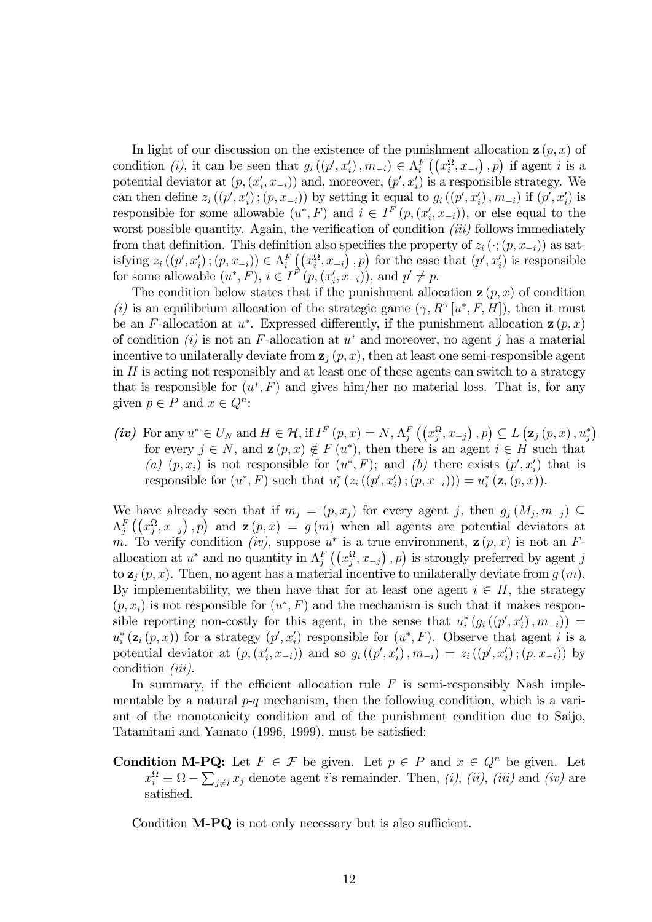In light of our discussion on the existence of the punishment allocation  $z(p, x)$  of condition *(i)*, it can be seen that  $g_i((p', x'_i), m_{-i}) \in \Lambda_i^F((x_i^{\Omega}, x_{-i}), p)$  if agent *i* is a potential deviator at  $(p, (x'_i, x_{-i}))$  and, moreover,  $(p', x'_i)$  is a responsible strategy. We can then define  $z_i((p', x'_i); (p, x_{-i}))$  by setting it equal to  $g_i((p', x'_i), m_{-i})$  if  $(p', x'_i)$  is responsible for some allowable  $(u^*, F)$  and  $i \in I^F(p, (x_i', x_{-i}))$ , or else equal to the worst possible quantity. Again, the verification of condition *(iii)* follows immediately from that definition. This definition also specifies the property of  $z_i$  ( $\cdot$ ;  $(p, x_{-i})$ ) as satisfying  $z_i((p', x'_i); (p, x_{-i})) \in \Lambda_i^F((x_i^{\Omega}, x_{-i}), p)$  for the case that  $(p', x'_i)$  is responsible for some allowable  $(u^*, F)$ ,  $i \in I^F(p, (x_i', x_{-i}))$ , and  $p' \neq p$ .

The condition below states that if the punishment allocation  $z(p, x)$  of condition *(i)* is an equilibrium allocation of the strategic game  $(\gamma, R^{\gamma} | u^*, F, H]$ , then it must be an *F*-allocation at  $u^*$ . Expressed differently, if the punishment allocation  $\mathbf{z}(p, x)$ of condition *(i)* is not an *F*-allocation at *u*<sup>∗</sup> and moreover, no agent *j* has a material incentive to unilaterally deviate from  $z_j$   $(p, x)$ , then at least one semi-responsible agent in *H* is acting not responsibly and at least one of these agents can switch to a strategy that is responsible for  $(u^*, F)$  and gives him/her no material loss. That is, for any given  $p \in P$  and  $x \in Q^n$ :

(iv) For any  $u^* \in U_N$  and  $H \in \mathcal{H}$ , if  $I^F(p,x) = N$ ,  $\Lambda_j^F((x_j^{\Omega}, x_{-j}), p) \subseteq L(\mathbf{z}_j(p,x), u_j^*)$ for every  $j \in N$ , and  $\mathbf{z}(p, x) \notin F(u^*)$ , then there is an agent  $i \in H$  such that (a)  $(p, x_i)$  is not responsible for  $(u^*, F)$ ; and (b) there exists  $(p', x'_i)$  that is responsible for  $(u^*, F)$  such that  $u_i^* (z_i((p', x_i'); (p, x_{-i}))) = u_i^* (\mathbf{z}_i(p, x)).$ 

We have already seen that if  $m_j = (p, x_j)$  for every agent *j*, then  $g_j(M_j, m_{-j}) \subseteq$  $\Lambda_j^F\left(\left(x_j^{\Omega}, x_{-j}\right), p\right)$  and  $\mathbf{z}(p, x) = g(m)$  when all agents are potential deviators at *m*. To verify condition *(iv)*, suppose  $u^*$  is a true environment,  $\mathbf{z}(p, x)$  is not an *F*allocation at  $u^*$  and no quantity in  $\Lambda_j^F$   $((x_j^{\Omega}, x_{-j})$ , *p*) is strongly preferred by agent *j* to  $z_j(p, x)$ . Then, no agent has a material incentive to unilaterally deviate from  $g(m)$ . By implementability, we then have that for at least one agent  $i \in H$ , the strategy  $(p, x_i)$  is not responsible for  $(u^*, F)$  and the mechanism is such that it makes responsible reporting non-costly for this agent, in the sense that  $u_i^*(g_i((p',x'_i),m_{-i}))$  $u_i^*$  ( $\mathbf{z}_i$  ( $p, x$ )) for a strategy ( $p', x_i'$ ) responsible for ( $u^*, F$ ). Observe that agent *i* is a potential deviator at  $(p, (x'_i, x_{-i}))$  and so  $g_i((p', x'_i), m_{-i}) = z_i((p', x'_i); (p, x_{-i}))$  by condition *(iii)*.

In summary, if the efficient allocation rule  $F$  is semi-responsibly Nash implementable by a natural *p*-*q* mechanism, then the following condition, which is a variant of the monotonicity condition and of the punishment condition due to Saijo, Tatamitani and Yamato (1996, 1999), must be satisfied:

**Condition M-PQ:** Let  $F \in \mathcal{F}$  be given. Let  $p \in P$  and  $x \in Q^n$  be given. Let  $x_i^{\Omega} \equiv \Omega - \sum_{j \neq i} x_j$  denote agent *i*'s remainder. Then, *(i)*, *(ii)*, *(iii)* and *(iv)* are satisfied.

Condition  $M-PQ$  is not only necessary but is also sufficient.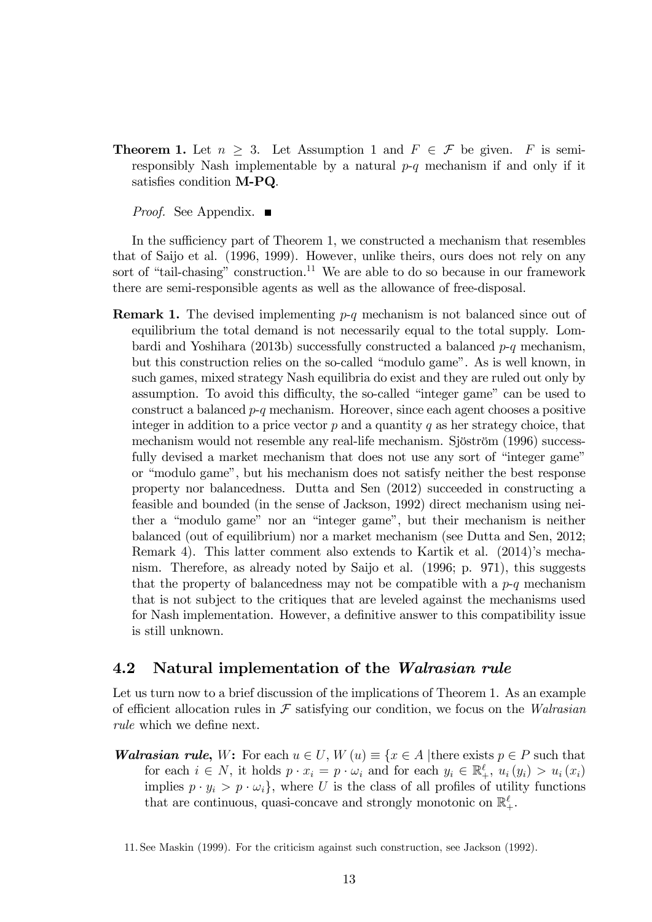**Theorem 1.** Let  $n \geq 3$ . Let Assumption 1 and  $F \in \mathcal{F}$  be given. *F* is semiresponsibly Nash implementable by a natural *p*-*q* mechanism if and only if it satisfies condition M-PQ.

*Proof.* See Appendix. ■

In the sufficiency part of Theorem 1, we constructed a mechanism that resembles that of Saijo et al. (1996, 1999). However, unlike theirs, ours does not rely on any sort of "tail-chasing" construction.<sup>11</sup> We are able to do so because in our framework there are semi-responsible agents as well as the allowance of free-disposal.

Remark 1. The devised implementing *p*-*q* mechanism is not balanced since out of equilibrium the total demand is not necessarily equal to the total supply. Lombardi and Yoshihara (2013b) successfully constructed a balanced *p*-*q* mechanism, but this construction relies on the so-called "modulo game". As is well known, in such games, mixed strategy Nash equilibria do exist and they are ruled out only by assumption. To avoid this difficulty, the so-called "integer game" can be used to construct a balanced *p*-*q* mechanism. Horeover, since each agent chooses a positive integer in addition to a price vector *p* and a quantity *q* as her strategy choice, that mechanism would not resemble any real-life mechanism. Sjöström (1996) successfully devised a market mechanism that does not use any sort of "integer game" or "modulo game", but his mechanism does not satisfy neither the best response property nor balancedness. Dutta and Sen (2012) succeeded in constructing a feasible and bounded (in the sense of Jackson, 1992) direct mechanism using neither a "modulo game" nor an "integer game", but their mechanism is neither balanced (out of equilibrium) nor a market mechanism (see Dutta and Sen, 2012; Remark 4). This latter comment also extends to Kartik et al. (2014)'s mechanism. Therefore, as already noted by Saijo et al. (1996; p. 971), this suggests that the property of balancedness may not be compatible with a *p*-*q* mechanism that is not subject to the critiques that are leveled against the mechanisms used for Nash implementation. However, a definitive answer to this compatibility issue is still unknown.

#### 4.2 Natural implementation of the *Walrasian rule*

Let us turn now to a brief discussion of the implications of Theorem 1. As an example of efficient allocation rules in  $\mathcal F$  satisfying our condition, we focus on the *Walrasian rule* which we define next.

*Walrasian rule*, *W*: For each  $u \in U$ ,  $W(u) \equiv \{x \in A | \text{there exists } p \in P \text{ such that } \int f(u) \, du \leq 1 \}$ for each  $i \in N$ , it holds  $p \cdot x_i = p \cdot \omega_i$  and for each  $y_i \in \mathbb{R}_+^{\ell}$ ,  $u_i(y_i) > u_i(x_i)$ implies  $p \cdot y_i > p \cdot \omega_i$ , where *U* is the class of all profiles of utility functions that are continuous, quasi-concave and strongly monotonic on  $\mathbb{R}^{\ell}_+$ .

11. See Maskin (1999). For the criticism against such construction, see Jackson (1992).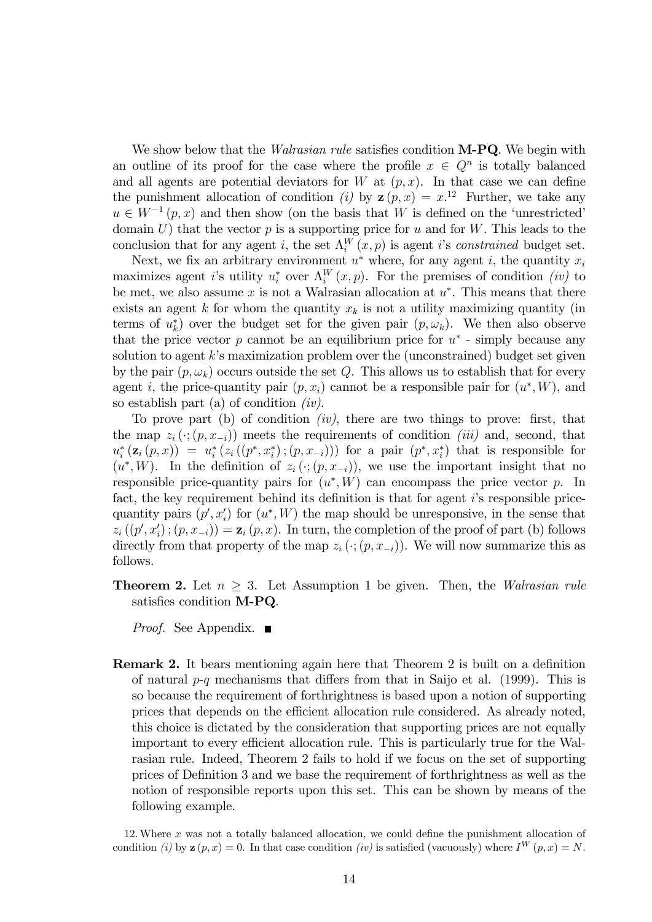We show below that the *Walrasian rule* satisfies condition M-PQ. We begin with an outline of its proof for the case where the profile  $x \in Q^n$  is totally balanced and all agents are potential deviators for *W* at  $(p, x)$ . In that case we can define the punishment allocation of condition *(i)* by  $z(p, x) = x^{12}$  Further, we take any  $u \in W^{-1}(p, x)$  and then show (on the basis that *W* is defined on the 'unrestricted' domain *U*) that the vector *p* is a supporting price for *u* and for *W*. This leads to the conclusion that for any agent *i*, the set  $\Lambda_i^W(x,p)$  is agent *i*'s *constrained* budget set.

Next, we fix an arbitrary environment  $u^*$  where, for any agent *i*, the quantity  $x_i$ maximizes agent *i*'s utility  $u_i^*$  over  $\Lambda_i^W(x,p)$ . For the premises of condition *(iv)* to be met, we also assume *x* is not a Walrasian allocation at *u*∗. This means that there exists an agent  $k$  for whom the quantity  $x_k$  is not a utility maximizing quantity (in terms of  $u_k^*$ ) over the budget set for the given pair  $(p, \omega_k)$ . We then also observe that the price vector  $p$  cannot be an equilibrium price for  $u^*$  - simply because any solution to agent *k*'s maximization problem over the (unconstrained) budget set given by the pair  $(p, \omega_k)$  occurs outside the set *Q*. This allows us to establish that for every agent *i*, the price-quantity pair  $(p, x_i)$  cannot be a responsible pair for  $(u^*, W)$ , and so establish part (a) of condition *(iv)*.

To prove part (b) of condition *(iv)*, there are two things to prove: first, that the map  $z_i(\cdot; (p, x_{-i}))$  meets the requirements of condition *(iii)* and, second, that  $u_i^* (z_i (p, x)) = u_i^* (z_i ((p^*, x_i^*); (p, x_{-i})))$  for a pair  $(p^*, x_i^*)$  that is responsible for  $(u^*, W)$ . In the definition of  $z_i(\cdot; (p, x_{-i}))$ , we use the important insight that no responsible price-quantity pairs for  $(u^*, W)$  can encompass the price vector  $p$ . In fact, the key requirement behind its definition is that for agent *i*'s responsible pricequantity pairs  $(p', x'_i)$  for  $(u^*, W)$  the map should be unresponsive, in the sense that  $z_i((p', x'_i); (p, x_{-i})) = \mathbf{z}_i(p, x)$ . In turn, the completion of the proof of part (b) follows directly from that property of the map  $z_i$  ( $\cdot$ ;  $(p, x_{-i})$ ). We will now summarize this as follows.

**Theorem 2.** Let  $n > 3$ . Let Assumption 1 be given. Then, the *Walrasian rule* satisfies condition M-PQ.

*Proof.* See Appendix. ■

Remark 2. It bears mentioning again here that Theorem 2 is built on a definition of natural  $p-q$  mechanisms that differs from that in Saijo et al. (1999). This is so because the requirement of forthrightness is based upon a notion of supporting prices that depends on the efficient allocation rule considered. As already noted, this choice is dictated by the consideration that supporting prices are not equally important to every efficient allocation rule. This is particularly true for the Walrasian rule. Indeed, Theorem 2 fails to hold if we focus on the set of supporting prices of Definition 3 and we base the requirement of forthrightness as well as the notion of responsible reports upon this set. This can be shown by means of the following example.

12.Where *x* was not a totally balanced allocation, we could define the punishment allocation of condition *(i)* by  $\mathbf{z}(p, x) = 0$ . In that case condition *(iv)* is satisfied (vacuously) where  $I^W(p, x) = N$ .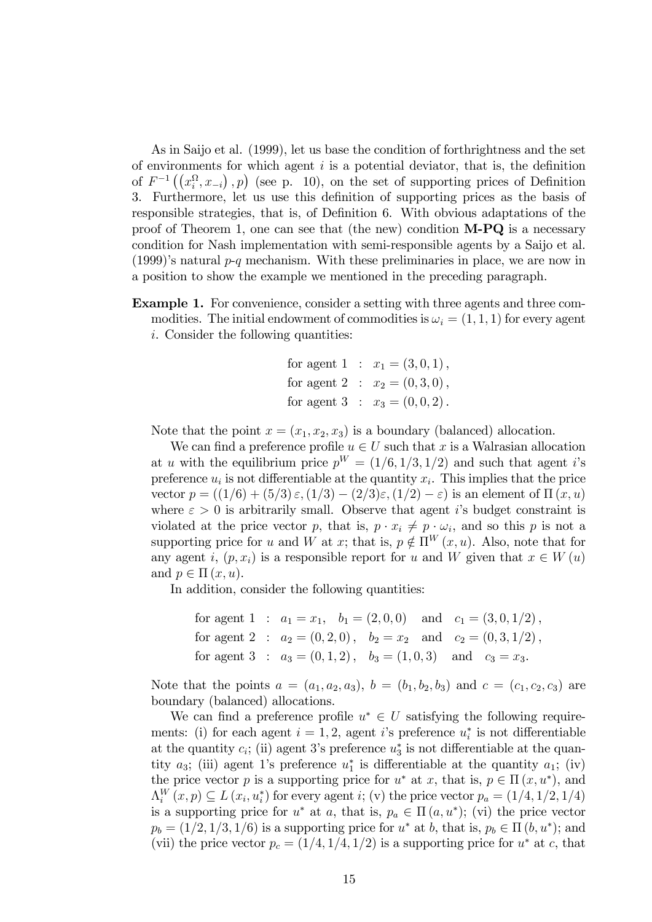As in Saijo et al. (1999), let us base the condition of forthrightness and the set of environments for which agent *i* is a potential deviator, that is, the definition of  $F^{-1}((x_i^{\Omega}, x_{-i}), p)$  (see p. 10), on the set of supporting prices of Definition 3. Furthermore, let us use this definition of supporting prices as the basis of responsible strategies, that is, of Definition 6. With obvious adaptations of the proof of Theorem 1, one can see that (the new) condition  $M-PQ$  is a necessary condition for Nash implementation with semi-responsible agents by a Saijo et al. (1999)'s natural *p*-*q* mechanism. With these preliminaries in place, we are now in a position to show the example we mentioned in the preceding paragraph.

Example 1. For convenience, consider a setting with three agents and three commodities. The initial endowment of commodities is  $\omega_i = (1, 1, 1)$  for every agent *i*. Consider the following quantities:

for agent 1 : 
$$
x_1 = (3, 0, 1)
$$
,  
for agent 2 :  $x_2 = (0, 3, 0)$ ,  
for agent 3 :  $x_3 = (0, 0, 2)$ .

Note that the point  $x = (x_1, x_2, x_3)$  is a boundary (balanced) allocation.

We can find a preference profile  $u \in U$  such that x is a Walrasian allocation at *u* with the equilibrium price  $p^W = (1/6, 1/3, 1/2)$  and such that agent *i*'s preference  $u_i$  is not differentiable at the quantity  $x_i$ . This implies that the price vector  $p = ((1/6) + (5/3) \varepsilon, (1/3) - (2/3) \varepsilon, (1/2) - \varepsilon)$  is an element of  $\Pi(x, u)$ where  $\varepsilon > 0$  is arbitrarily small. Observe that agent *i*'s budget constraint is violated at the price vector *p*, that is,  $p \cdot x_i \neq p \cdot \omega_i$ , and so this *p* is not a supporting price for *u* and *W* at *x*; that is,  $p \notin \Pi^W(x, u)$ . Also, note that for any agent *i*,  $(p, x_i)$  is a responsible report for *u* and *W* given that  $x \in W(u)$ and  $p \in \Pi(x, u)$ .

In addition, consider the following quantities:

for agent 1 : 
$$
a_1 = x_1
$$
,  $b_1 = (2, 0, 0)$  and  $c_1 = (3, 0, 1/2)$ ,  
for agent 2 :  $a_2 = (0, 2, 0)$ ,  $b_2 = x_2$  and  $c_2 = (0, 3, 1/2)$ ,  
for agent 3 :  $a_3 = (0, 1, 2)$ ,  $b_3 = (1, 0, 3)$  and  $c_3 = x_3$ .

Note that the points  $a = (a_1, a_2, a_3), b = (b_1, b_2, b_3)$  and  $c = (c_1, c_2, c_3)$  are boundary (balanced) allocations.

We can find a preference profile  $u^* \in U$  satisfying the following requirements: (i) for each agent  $i = 1, 2$ , agent *i*'s preference  $u_i^*$  is not differentiable at the quantity  $c_i$ ; (ii) agent 3's preference  $u_3^*$  is not differentiable at the quantity  $a_3$ ; (iii) agent 1's preference  $u_1^*$  is differentiable at the quantity  $a_1$ ; (iv) the price vector *p* is a supporting price for  $u^*$  at *x*, that is,  $p \in \Pi(x, u^*)$ , and  $\Lambda_i^W(x,p) \subseteq L(x_i, u_i^*)$  for every agent *i*; (v) the price vector  $p_a = (1/4, 1/2, 1/4)$ is a supporting price for  $u^*$  at *a*, that is,  $p_a \in \Pi(a, u^*)$ ; (vi) the price vector  $p_b = (1/2, 1/3, 1/6)$  is a supporting price for  $u^*$  at *b*, that is,  $p_b \in \Pi$  (*b, u*<sup>\*</sup>); and (vii) the price vector  $p_c = (1/4, 1/4, 1/2)$  is a supporting price for  $u^*$  at *c*, that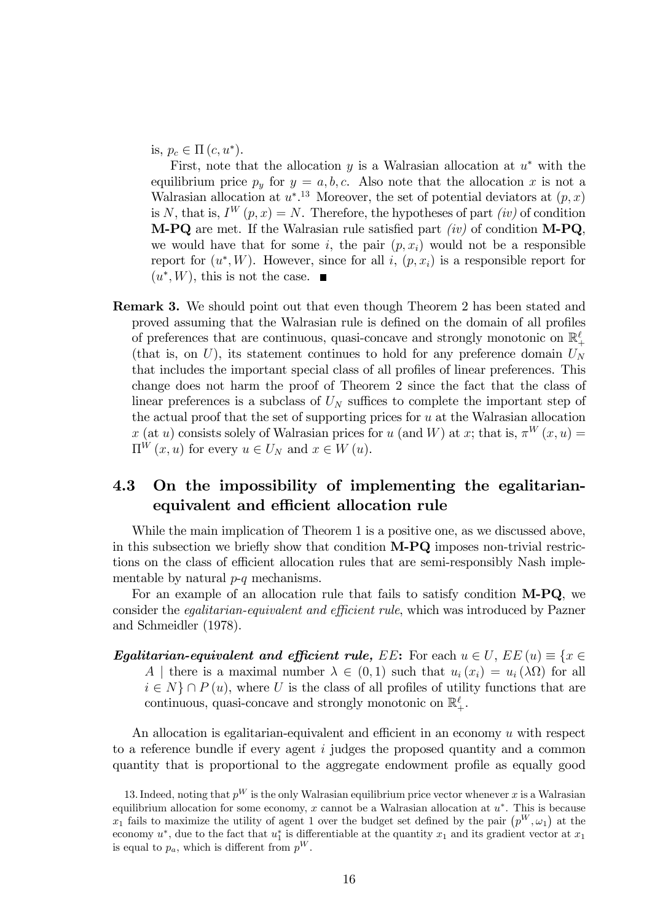is,  $p_c \in \Pi(c, u^*).$ 

First, note that the allocation *y* is a Walrasian allocation at *u*<sup>∗</sup> with the equilibrium price  $p_y$  for  $y = a, b, c$ . Also note that the allocation x is not a Walrasian allocation at  $u^*$ <sup>13</sup> Moreover, the set of potential deviators at  $(p, x)$ is *N*, that is,  $I^W(p, x) = N$ . Therefore, the hypotheses of part *(iv)* of condition M-PQ are met. If the Walrasian rule satisfied part *(iv)* of condition M-PQ, we would have that for some  $i$ , the pair  $(p, x_i)$  would not be a responsible report for  $(u^*, W)$ . However, since for all *i*,  $(p, x_i)$  is a responsible report for  $(u^*, W)$ , this is not the case.

Remark 3. We should point out that even though Theorem 2 has been stated and proved assuming that the Walrasian rule is defined on the domain of all profiles of preferences that are continuous, quasi-concave and strongly monotonic on  $\mathbb{R}^\ell_+$ (that is, on  $U$ ), its statement continues to hold for any preference domain  $U_N$ that includes the important special class of all profiles of linear preferences. This change does not harm the proof of Theorem 2 since the fact that the class of linear preferences is a subclass of  $U_N$  suffices to complete the important step of the actual proof that the set of supporting prices for *u* at the Walrasian allocation *x* (at *u*) consists solely of Walrasian prices for *u* (and *W*) at *x*; that is,  $\pi^{W}(x, u) =$  $\Pi^{W}(x, u)$  for every  $u \in U_N$  and  $x \in W(u)$ .

### 4.3 On the impossibility of implementing the egalitarianequivalent and efficient allocation rule

While the main implication of Theorem 1 is a positive one, as we discussed above, in this subsection we briefly show that condition M-PQ imposes non-trivial restrictions on the class of efficient allocation rules that are semi-responsibly Nash implementable by natural *p*-*q* mechanisms.

For an example of an allocation rule that fails to satisfy condition M-PQ, we consider the *eqalitarian-equivalent and efficient rule*, which was introduced by Pazner and Schmeidler (1978).

*Egalitarian-equivalent and efficient rule, EE*: For each  $u \in U$ , *EE*  $(u) \equiv \{x \in$ *A* | there is a maximal number  $\lambda \in (0,1)$  such that  $u_i(x_i) = u_i(\lambda \Omega)$  for all  $i \in N$   $\cap$  *P* (*u*), where *U* is the class of all profiles of utility functions that are continuous, quasi-concave and strongly monotonic on  $\mathbb{R}^{\ell}_+$ .

An allocation is egalitarian-equivalent and efficient in an economy *u* with respect to a reference bundle if every agent *i* judges the proposed quantity and a common quantity that is proportional to the aggregate endowment profile as equally good

<sup>13.</sup> Indeed, noting that  $p^W$  is the only Walrasian equilibrium price vector whenever x is a Walrasian equilibrium allocation for some economy, *x* cannot be a Walrasian allocation at *u*∗. This is because  $x_1$  fails to maximize the utility of agent 1 over the budget set defined by the pair  $(p^W, \omega_1)$  at the economy  $u^*$ , due to the fact that  $u_1^*$  is differentiable at the quantity  $x_1$  and its gradient vector at  $x_1$ is equal to  $p_a$ , which is different from  $p^W$ .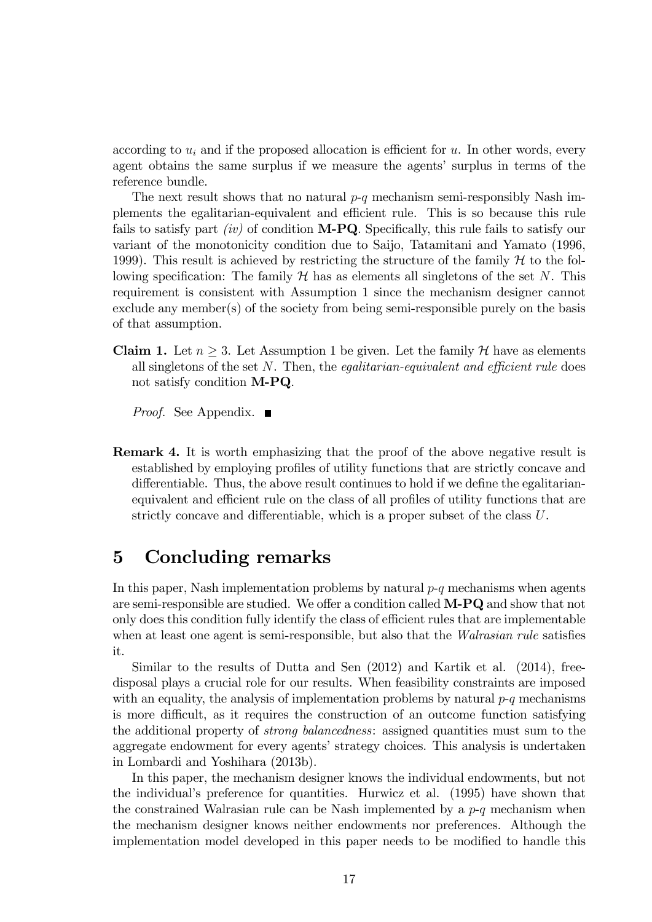according to  $u_i$  and if the proposed allocation is efficient for  $u$ . In other words, every agent obtains the same surplus if we measure the agents' surplus in terms of the reference bundle.

The next result shows that no natural *p*-*q* mechanism semi-responsibly Nash implements the egalitarian-equivalent and efficient rule. This is so because this rule fails to satisfy part *(iv)* of condition M-PQ. Specifically, this rule fails to satisfy our variant of the monotonicity condition due to Saijo, Tatamitani and Yamato (1996, 1999). This result is achieved by restricting the structure of the family  $\mathcal H$  to the following specification: The family  $H$  has as elements all singletons of the set N. This requirement is consistent with Assumption 1 since the mechanism designer cannot exclude any member(s) of the society from being semi-responsible purely on the basis of that assumption.

**Claim 1.** Let  $n \geq 3$ . Let Assumption 1 be given. Let the family  $H$  have as elements all singletons of the set *N*. Then, the *egalitarian-equivalent and e*¢*cient rule* does not satisfy condition M-PQ.

*Proof.* See Appendix. ■

Remark 4. It is worth emphasizing that the proof of the above negative result is established by employing profiles of utility functions that are strictly concave and differentiable. Thus, the above result continues to hold if we define the egalitarianequivalent and efficient rule on the class of all profiles of utility functions that are strictly concave and differentiable, which is a proper subset of the class  $U$ .

## 5 Concluding remarks

In this paper, Nash implementation problems by natural *p*-*q* mechanisms when agents are semi-responsible are studied. We offer a condition called  $M-PQ$  and show that not only does this condition fully identify the class of efficient rules that are implementable when at least one agent is semi-responsible, but also that the *Walrasian rule* satisfies it.

Similar to the results of Dutta and Sen (2012) and Kartik et al. (2014), freedisposal plays a crucial role for our results. When feasibility constraints are imposed with an equality, the analysis of implementation problems by natural *p*-*q* mechanisms is more difficult, as it requires the construction of an outcome function satisfying the additional property of *strong balancedness*: assigned quantities must sum to the aggregate endowment for every agents' strategy choices. This analysis is undertaken in Lombardi and Yoshihara (2013b).

In this paper, the mechanism designer knows the individual endowments, but not the individual's preference for quantities. Hurwicz et al. (1995) have shown that the constrained Walrasian rule can be Nash implemented by a *p*-*q* mechanism when the mechanism designer knows neither endowments nor preferences. Although the implementation model developed in this paper needs to be modified to handle this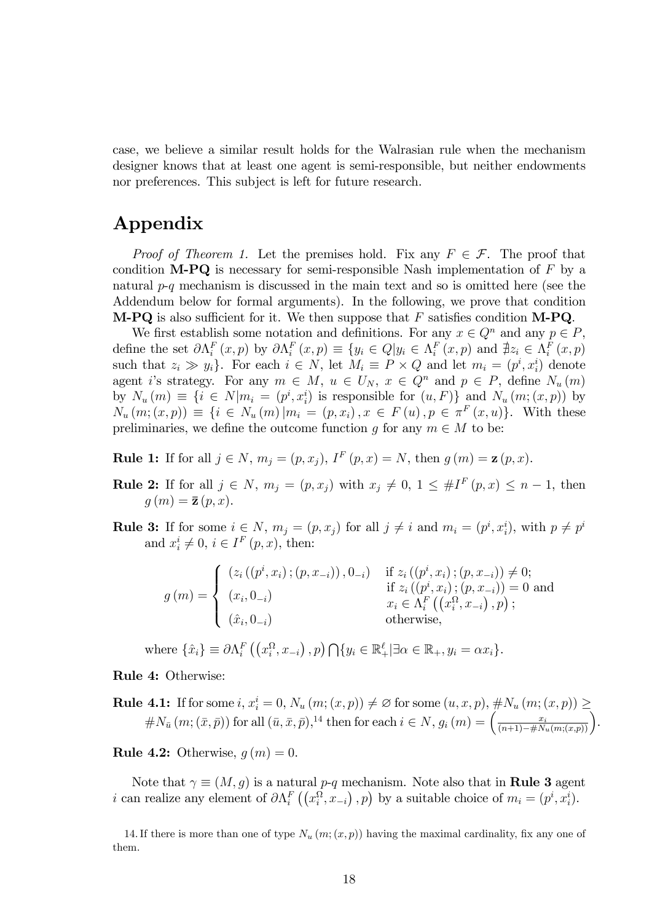case, we believe a similar result holds for the Walrasian rule when the mechanism designer knows that at least one agent is semi-responsible, but neither endowments nor preferences. This subject is left for future research.

## Appendix

*Proof of Theorem 1.* Let the premises hold. Fix any  $F \in \mathcal{F}$ . The proof that condition M-PQ is necessary for semi-responsible Nash implementation of *F* by a natural *p*-*q* mechanism is discussed in the main text and so is omitted here (see the Addendum below for formal arguments). In the following, we prove that condition **M-PQ** is also sufficient for it. We then suppose that  $F$  satisfies condition **M-PQ**.

We first establish some notation and definitions. For any  $x \in Q^n$  and any  $p \in P$ , define the set  $\partial \Lambda_i^F(x,p)$  by  $\partial \Lambda_i^F(x,p) \equiv \{y_i \in Q | y_i \in \Lambda_i^F(x,p) \text{ and } \nexists z_i \in \Lambda_i^F(x,p) \}$ such that  $z_i \gg y_i$ . For each  $i \in N$ , let  $M_i \equiv P \times Q$  and let  $m_i = (p^i, x_i^i)$  denote agent *i*'s strategy. For any  $m \in M$ ,  $u \in U_N$ ,  $x \in Q^n$  and  $p \in P$ , define  $N_u(m)$ by  $N_u(m) \equiv \{i \in N | m_i = (p^i, x_i^i) \text{ is responsible for } (u, F)\}$  and  $N_u(m; (x, p))$  by  $N_u(m; (x, p)) \equiv \{i \in N_u(m) | m_i = (p, x_i), x \in F(u), p \in \pi^F(x, u)\}.$  With these preliminaries, we define the outcome function *g* for any  $m \in M$  to be:

**Rule 1:** If for all  $j \in N$ ,  $m_j = (p, x_j)$ ,  $I^F(p, x) = N$ , then  $g(m) = \mathbf{z}(p, x)$ .

- **Rule 2:** If for all *j* ∈ *N*,  $m_j = (p, x_j)$  with  $x_j \neq 0, 1 ≤ #I<sup>F</sup>(p, x) ≤ n 1$ , then  $g(m) = \bar{z}(p, x).$
- **Rule 3:** If for some  $i \in N$ ,  $m_j = (p, x_j)$  for all  $j \neq i$  and  $m_i = (p^i, x_i^i)$ , with  $p \neq p^i$ and  $x_i^i \neq 0$ ,  $i \in I^F(p, x)$ , then:

$$
g(m) = \begin{cases} (z_i((p^i, x_i); (p, x_{-i})), 0_{-i}) & \text{if } z_i((p^i, x_i); (p, x_{-i})) \neq 0; \\ (x_i, 0_{-i}) & \text{if } z_i((p^i, x_i); (p, x_{-i})) = 0 \text{ and } \\ (\hat{x}_i, 0_{-i}) & \text{otherwise,} \end{cases}
$$

where  $\{\hat{x}_i\} \equiv \partial \Lambda_i^F \left( \left( x_i^{\Omega}, x_{-i} \right), p \right) \bigcap \{y_i \in \mathbb{R}_+^{\ell} | \exists \alpha \in \mathbb{R}_+, y_i = \alpha x_i \}.$ 

#### Rule 4: Otherwise:

**Rule 4.1:** If for some  $i, x_i^i = 0, N_u(m; (x, p)) \neq \emptyset$  for some  $(u, x, p), \#N_u(m; (x, p)) \geq$  $\#N_{\bar{u}}(m; (\bar{x}, \bar{p}))$  for all  $(\bar{u}, \bar{x}, \bar{p})$ ,<sup>14</sup> then for each  $i \in N$ ,  $g_i(m) = \left(\frac{x_i}{(n+1) - \#N_u(m;(x, p))}\right)$ .

**Rule 4.2:** Otherwise,  $q(m)=0$ .

Note that  $\gamma \equiv (M, g)$  is a natural *p*-*q* mechanism. Note also that in **Rule 3** agent *i* can realize any element of  $\partial \Lambda_i^F((x_i^{\Omega}, x_{-i}), p)$  by a suitable choice of  $m_i = (p^i, x_i^i)$ .

14. If there is more than one of type  $N_u(m;(x,p))$  having the maximal cardinality, fix any one of them.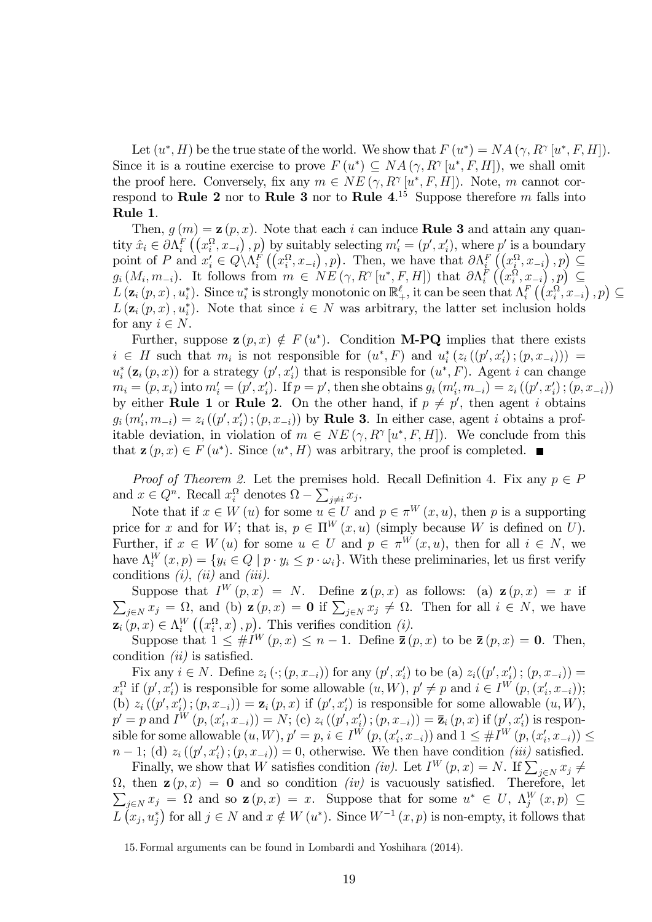Let  $(u^*, H)$  be the true state of the world. We show that  $F(u^*) = NA(\gamma, R^{\gamma}[u^*, F, H]).$ Since it is a routine exercise to prove  $F(u^*) \subseteq NA(\gamma, R^{\gamma}[u^*, F, H])$ , we shall omit the proof here. Conversely, fix any  $m \in NE(\gamma, R^{\gamma}[u^*,F,H])$ . Note, *m* cannot correspond to Rule 2 nor to Rule 3 nor to Rule 4. <sup>15</sup> Suppose therefore *m* falls into Rule 1.

Then,  $g(m) = \mathbf{z}(p, x)$ . Note that each *i* can induce **Rule 3** and attain any quantity  $\hat{x}_i \in \partial \Lambda_i^F \left( (x_i^{\Omega}, x_{-i}), p \right)$  by suitably selecting  $m'_i = (p', x'_i)$ , where  $p'$  is a boundary point of *P* and  $x_i' \in Q(\Lambda_i^F((x_i^{\Omega}, x_{-i}), p))$ . Then, we have that  $\partial \Lambda_i^F((x_i^{\Omega}, x_{-i}), p) \subseteq$  $g_i(M_i, m_{-i})$ . It follows from  $m \in NE(\gamma, R^{\gamma}[u^*, F, H])$  that  $\partial \Lambda_i^F(\hat{(}x_i^{\Omega}, x_{-i}), p) \subseteq$  $L(\mathbf{z}_i(p,x), u_i^*)$ . Since  $u_i^*$  is strongly monotonic on  $\mathbb{R}^{\ell}_+$ , it can be seen that  $\Lambda_i^F((x_i^{\Omega}, x_{-i}), p) \subseteq$  $L(\mathbf{z}_i(p,x), u_i^*)$ . Note that since  $i \in N$  was arbitrary, the latter set inclusion holds for any  $i \in N$ .

Further, suppose  $\mathbf{z}(p, x) \notin F(u^*)$ . Condition **M-PQ** implies that there exists  $i \in H$  such that  $m_i$  is not responsible for  $(u^*, F)$  and  $u_i^*(z_i((p', x_i'); (p, x_{-i})))$  $u_i^*$  ( $\mathbf{z}_i$  ( $p, x$ )) for a strategy ( $p', x'_i$ ) that is responsible for ( $u^*, F$ ). Agent *i* can change  $m_i = (p, x_i)$  into  $m'_i = (p', x'_i)$ . If  $p = p'$ , then she obtains  $g_i (m'_i, m_{-i}) = z_i ((p', x'_i) ; (p, x_{-i}))$ by either **Rule 1** or **Rule 2**. On the other hand, if  $p \neq p'$ , then agent *i* obtains  $g_i(m'_i, m_{-i}) = z_i((p', x'_i); (p, x_{-i}))$  by **Rule 3.** In either case, agent *i* obtains a profitable deviation, in violation of  $m \in NE(\gamma, R^{\gamma}[u^*, F, H])$ . We conclude from this that  $z(p, x) \in F(u^*)$ . Since  $(u^*, H)$  was arbitrary, the proof is completed.

*Proof of Theorem 2.* Let the premises hold. Recall Definition 4. Fix any  $p \in P$ and  $x \in Q^n$ . Recall  $x_i^{\Omega}$  denotes  $\Omega - \sum_{j \neq i} x_j$ .

Note that if  $x \in W(u)$  for some  $u \in U$  and  $p \in \pi^W(x, u)$ , then p is a supporting price for *x* and for *W*; that is,  $p \in \Pi^W(x, u)$  (simply because *W* is defined on *U*). Further, if  $x \in W(u)$  for some  $u \in U$  and  $p \in \pi^W(x, u)$ , then for all  $i \in N$ , we have  $\Lambda_i^W(x,p) = \{y_i \in Q \mid p \cdot y_i \leq p \cdot \omega_i\}$ . With these preliminaries, let us first verify conditions *(i)*, *(ii)* and *(iii)*.

Suppose that  $I^W(p,x) = N$ . Define  $\mathbf{z}(p,x)$  as follows: (a)  $\mathbf{z}(p,x) = x$  if  $\sum_{j\in N} x_j = \Omega$ , and (b)  $\mathbf{z}(p, x) = \mathbf{0}$  if  $\sum_{j\in N} x_j \neq \Omega$ . Then for all  $i \in N$ , we have  $\mathbf{z}_i(p,x) \in \Lambda_i^W((x_i^{\Omega},x),p)$ . This verifies condition *(i)*.

Suppose that  $1 \leq \#I^W(p,x) \leq n-1$ . Define  $\bar{z}(p,x)$  to be  $\bar{z}(p,x) = 0$ . Then, condition *(ii)* is satisfied.

**Fix any** *i* ∈ *N*. Define  $z_i$  ( $\cdot$ ; (*p*, *x*<sub>−*i*</sub>)) for any (*p'*, *x'<sub>i</sub>*) to be (a)  $z_i$ ((*p'*,  $x'_{i}$ ); (*p*,  $x_{-i}$ )) =  $x_i^{\Omega}$  if  $(p', x'_i)$  is responsible for some allowable  $(u, W)$ ,  $p' \neq p$  and  $i \in I^W(p, (x'_i, x_{-i}))$ ; (b)  $z_i((p', x'_i); (p, x_{-i})) = \mathbf{z}_i(p, x)$  if  $(p', x'_i)$  is responsible for some allowable  $(u, W)$ ,  $p' = p$  and  $I^W(p, (x'_i, x_{-i})) = N$ ; (c)  $z_i((p', x'_i); (p, x_{-i})) = \bar{z}_i(p, x)$  if  $(p', x'_i)$  is responsible for some allowable  $(u, W), p' = p, i \in I^W(p, (x'_i, x_{-i}))$  and  $1 \leq \#I^W(p, (x'_i, x_{-i})) \leq$  $n-1$ ; (d)  $z_i((p', x'_i); (p, x_{-i})) = 0$ , otherwise. We then have condition *(iii)* satisfied.

Finally, we show that *W* satisfies condition *(iv)*. Let  $I^W(p, x) = N$ . If  $\sum_{j \in N} x_j \neq$  $\Omega$ , then  $\mathbf{z}(p,x) = \mathbf{0}$  and so condition *(iv)* is vacuously satisfied. Therefore, let  $\sum_{j\in N} x_j = \Omega$  and so  $\mathbf{z}(p, x) = x$ . Suppose that for some  $u^* \in U$ ,  $\Lambda_j^W(x, p) \subseteq$  $L\left(x_j, u_j^*\right)$  for all  $j \in N$  and  $x \notin W\left(u^*\right)$ . Since  $W^{-1}(x, p)$  is non-empty, it follows that

15. Formal arguments can be found in Lombardi and Yoshihara (2014).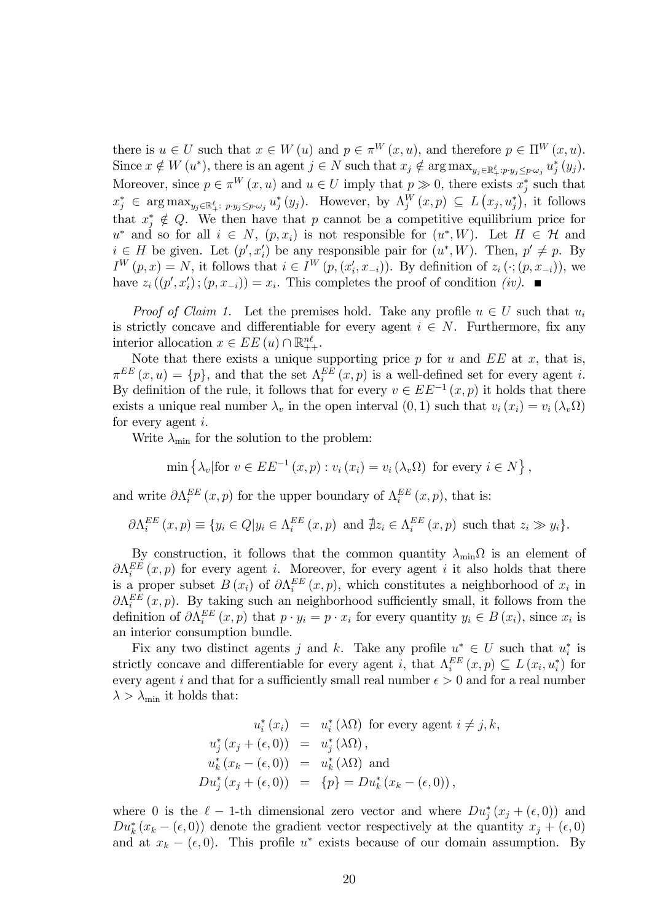there is  $u \in U$  such that  $x \in W(u)$  and  $p \in \pi^W(x, u)$ , and therefore  $p \in \Pi^W(x, u)$ . Since  $x \notin W(u^*)$ , there is an agent  $j \in N$  such that  $x_j \notin \arg \max_{y_j \in \mathbb{R}_+^{\ell} : p \cdot y_j \leq p \cdot \omega_j} u_j^*(y_j)$ . Moreover, since  $p \in \pi^W(x, u)$  and  $u \in U$  imply that  $p \gg 0$ , there exists  $x_j^*$  such that  $x_j^* \in \arg \max_{y_j \in \mathbb{R}_+^{\ell} : p \cdot y_j \leq p \cdot \omega_j} u_j^*(y_j)$ . However, by  $\Lambda_j^W(x, p) \subseteq L(x_j, u_j^*)$ , it follows that  $x_j^* \notin Q$ . We then have that *p* cannot be a competitive equilibrium price for  $u^*$  and so for all  $i \in N$ ,  $(p, x_i)$  is not responsible for  $(u^*, W)$ . Let  $H \in \mathcal{H}$  and  $i \in H$  be given. Let  $(p', x'_i)$  be any responsible pair for  $(u^*, W)$ . Then,  $p' \neq p$ . By  $I^{W}(p, x) = N$ , it follows that  $i \in I^{W}(p, (x'_{i}, x_{-i}))$ . By definition of  $z_{i}(\cdot; (p, x_{-i}))$ , we have  $z_i((p', x'_i); (p, x_{-i})) = x_i$ . This completes the proof of condition *(iv)*.

*Proof of Claim 1.* Let the premises hold. Take any profile  $u \in U$  such that  $u_i$ is strictly concave and differentiable for every agent  $i \in N$ . Furthermore, fix any interior allocation  $x \in EE(u) \cap \mathbb{R}_{++}^{n\ell}$ .

Note that there exists a unique supporting price *p* for *u* and *EE* at *x*, that is,  $\pi^{EE}(x, u) = \{p\}$ , and that the set  $\Lambda_i^{EE}(x, p)$  is a well-defined set for every agent *i*. By definition of the rule, it follows that for every  $v \in EE^{-1}(x, p)$  it holds that there exists a unique real number  $\lambda_v$  in the open interval  $(0, 1)$  such that  $v_i(x_i) = v_i(\lambda_v \Omega)$ for every agent *i*.

Write  $\lambda_{\min}$  for the solution to the problem:

$$
\min\left\{\lambda_v|\text{for } v \in EE^{-1}(x, p) : v_i(x_i) = v_i(\lambda_v \Omega) \text{ for every } i \in N\right\},\
$$

and write  $\partial \Lambda_i^{EE}(x, p)$  for the upper boundary of  $\Lambda_i^{EE}(x, p)$ , that is:

$$
\partial \Lambda_i^{EE}(x, p) \equiv \{ y_i \in Q | y_i \in \Lambda_i^{EE}(x, p) \text{ and } \nexists z_i \in \Lambda_i^{EE}(x, p) \text{ such that } z_i \gg y_i \}.
$$

By construction, it follows that the common quantity  $\lambda_{\min}\Omega$  is an element of  $\partial \Lambda_i^{EE}(x, p)$  for every agent *i*. Moreover, for every agent *i* it also holds that there is a proper subset  $B(x_i)$  of  $\partial \Lambda_i^{EE}(x, p)$ , which constitutes a neighborhood of  $x_i$  in  $\partial \Lambda_i^{EE}(x, p)$ . By taking such an neighborhood sufficiently small, it follows from the definition of  $\partial \Lambda_i^{EE}(x, p)$  that  $p \cdot y_i = p \cdot x_i$  for every quantity  $y_i \in B(x_i)$ , since  $x_i$  is an interior consumption bundle.

Fix any two distinct agents *j* and *k*. Take any profile  $u^* \in U$  such that  $u_i^*$  is strictly concave and differentiable for every agent *i*, that  $\Lambda_i^{EE}(x, p) \subseteq L(x_i, u_i^*)$  for every agent *i* and that for a sufficiently small real number  $\epsilon > 0$  and for a real number  $\lambda > \lambda_{\min}$  it holds that:

$$
u_i^*(x_i) = u_i^*(\lambda \Omega) \text{ for every agent } i \neq j, k,
$$
  
\n
$$
u_j^*(x_j + (\epsilon, 0)) = u_j^*(\lambda \Omega),
$$
  
\n
$$
u_k^*(x_k - (\epsilon, 0)) = u_k^*(\lambda \Omega) \text{ and}
$$
  
\n
$$
Du_j^*(x_j + (\epsilon, 0)) = \{p\} = Du_k^*(x_k - (\epsilon, 0)),
$$

where 0 is the  $\ell - 1$ -th dimensional zero vector and where  $Du_j^*(x_j + (\epsilon, 0))$  and  $Du_k^*(x_k - (\epsilon, 0))$  denote the gradient vector respectively at the quantity  $x_j + (\epsilon, 0)$ and at  $x_k - (\epsilon, 0)$ . This profile  $u^*$  exists because of our domain assumption. By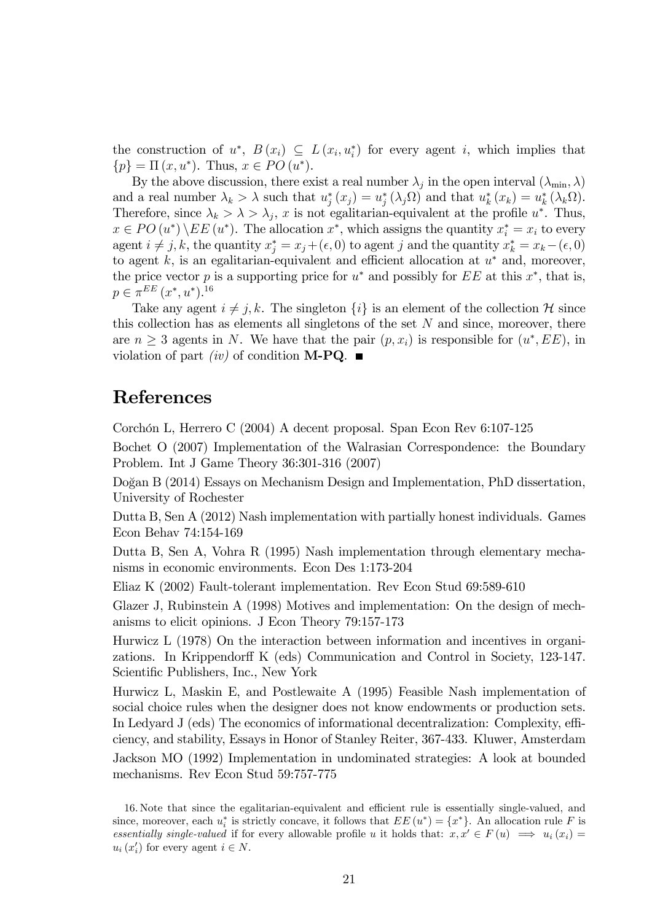the construction of  $u^*$ ,  $B(x_i) \subseteq L(x_i, u_i^*)$  for every agent *i*, which implies that  $\{p\} = \Pi(x, u^*)$ . Thus,  $x \in PO(u^*)$ .

By the above discussion, there exist a real number  $\lambda_j$  in the open interval  $(\lambda_{\min}, \lambda)$ and a real number  $\lambda_k > \lambda$  such that  $u_j^*(x_j) = u_j^*(\lambda_j \Omega)$  and that  $u_k^*(x_k) = u_k^*(\lambda_k \Omega)$ . Therefore, since  $\lambda_k > \lambda > \lambda_j$ , *x* is not egalitarian-equivalent at the profile *u*<sup>\*</sup>. Thus,  $x \in PO(u^*) \setminus EE(u^*)$ . The allocation  $x^*$ , which assigns the quantity  $x_i^* = x_i$  to every agent  $i \neq j, k$ , the quantity  $x_j^* = x_j + (\epsilon, 0)$  to agent *j* and the quantity  $x_k^* = x_k - (\epsilon, 0)$ to agent  $k$ , is an egalitarian-equivalent and efficient allocation at  $u^*$  and, moreover, the price vector *p* is a supporting price for  $u^*$  and possibly for *EE* at this  $x^*$ , that is,  $p \in \pi^{EE}(x^*, u^*)$ .<sup>16</sup>

Take any agent  $i \neq j, k$ . The singleton  $\{i\}$  is an element of the collection H since this collection has as elements all singletons of the set *N* and since, moreover, there are  $n \geq 3$  agents in *N*. We have that the pair  $(p, x_i)$  is responsible for  $(u^*, EE)$ , in violation of part *(iv)* of condition **M-PQ**.

### References

Corchón L, Herrero C (2004) A decent proposal. Span Econ Rev 6:107-125

Bochet O (2007) Implementation of the Walrasian Correspondence: the Boundary Problem. Int J Game Theory 36:301-316 (2007)

Doğan B (2014) Essays on Mechanism Design and Implementation, PhD dissertation, University of Rochester

Dutta B, Sen A (2012) Nash implementation with partially honest individuals. Games Econ Behav 74:154-169

Dutta B, Sen A, Vohra R (1995) Nash implementation through elementary mechanisms in economic environments. Econ Des 1:173-204

Eliaz K (2002) Fault-tolerant implementation. Rev Econ Stud 69:589-610

Glazer J, Rubinstein A (1998) Motives and implementation: On the design of mechanisms to elicit opinions. J Econ Theory 79:157-173

Hurwicz L (1978) On the interaction between information and incentives in organizations. In Krippendorff K (eds) Communication and Control in Society, 123-147. Scientific Publishers, Inc., New York

Hurwicz L, Maskin E, and Postlewaite A (1995) Feasible Nash implementation of social choice rules when the designer does not know endowments or production sets. In Ledyard J (eds) The economics of informational decentralization: Complexity, efficiency, and stability, Essays in Honor of Stanley Reiter, 367-433. Kluwer, Amsterdam

Jackson MO (1992) Implementation in undominated strategies: A look at bounded mechanisms. Rev Econ Stud 59:757-775

<sup>16.</sup> Note that since the egalitarian-equivalent and efficient rule is essentially single-valued, and since, moreover, each  $u_i^*$  is strictly concave, it follows that  $EE(u^*) = \{x^*\}$ . An allocation rule *F* is *essentially single-valued* if for every allowable profile *u* it holds that:  $x, x' \in F(u) \implies u_i(x_i) =$  $u_i(x_i')$  for every agent  $i \in N$ .